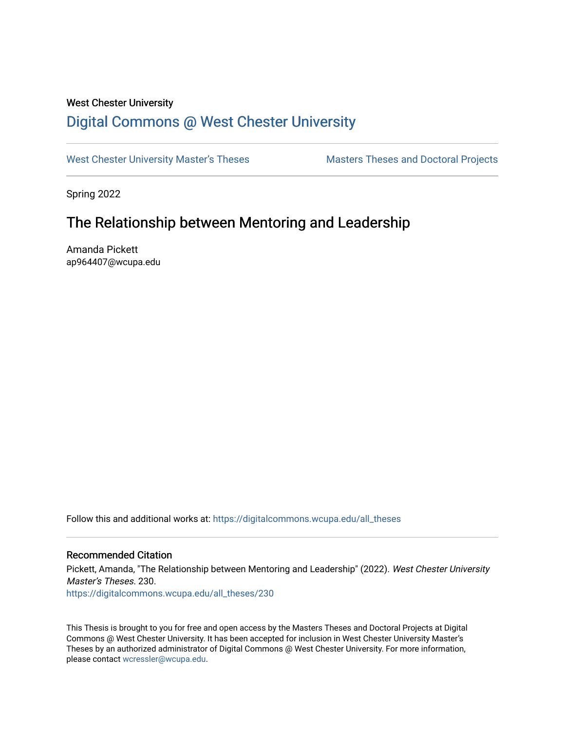## West Chester University

# [Digital Commons @ West Chester University](https://digitalcommons.wcupa.edu/)

[West Chester University Master's Theses](https://digitalcommons.wcupa.edu/all_theses) Masters Theses and Doctoral Projects

Spring 2022

# The Relationship between Mentoring and Leadership

Amanda Pickett ap964407@wcupa.edu

Follow this and additional works at: [https://digitalcommons.wcupa.edu/all\\_theses](https://digitalcommons.wcupa.edu/all_theses?utm_source=digitalcommons.wcupa.edu%2Fall_theses%2F230&utm_medium=PDF&utm_campaign=PDFCoverPages) 

## Recommended Citation

Pickett, Amanda, "The Relationship between Mentoring and Leadership" (2022). West Chester University Master's Theses. 230.

[https://digitalcommons.wcupa.edu/all\\_theses/230](https://digitalcommons.wcupa.edu/all_theses/230?utm_source=digitalcommons.wcupa.edu%2Fall_theses%2F230&utm_medium=PDF&utm_campaign=PDFCoverPages) 

This Thesis is brought to you for free and open access by the Masters Theses and Doctoral Projects at Digital Commons @ West Chester University. It has been accepted for inclusion in West Chester University Master's Theses by an authorized administrator of Digital Commons @ West Chester University. For more information, please contact [wcressler@wcupa.edu](mailto:wcressler@wcupa.edu).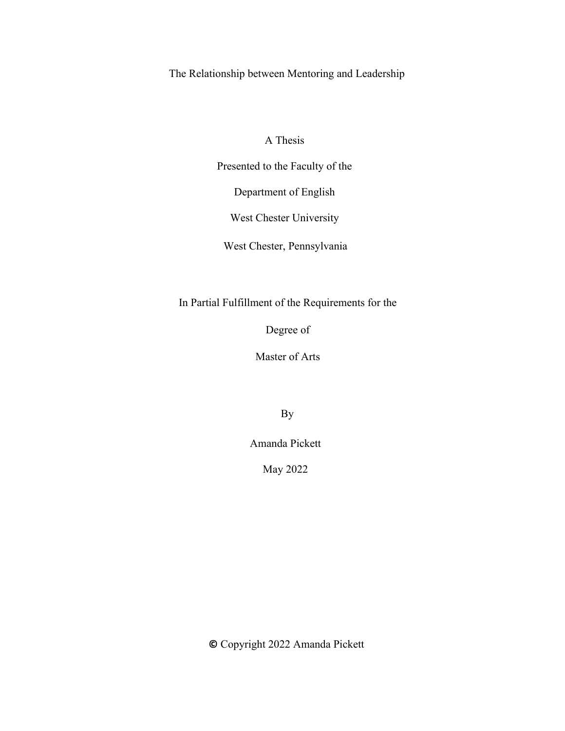The Relationship between Mentoring and Leadership

A Thesis

Presented to the Faculty of the

Department of English

West Chester University

West Chester, Pennsylvania

In Partial Fulfillment of the Requirements for the

Degree of

Master of Arts

By

Amanda Pickett

May 2022

**©** Copyright 2022 Amanda Pickett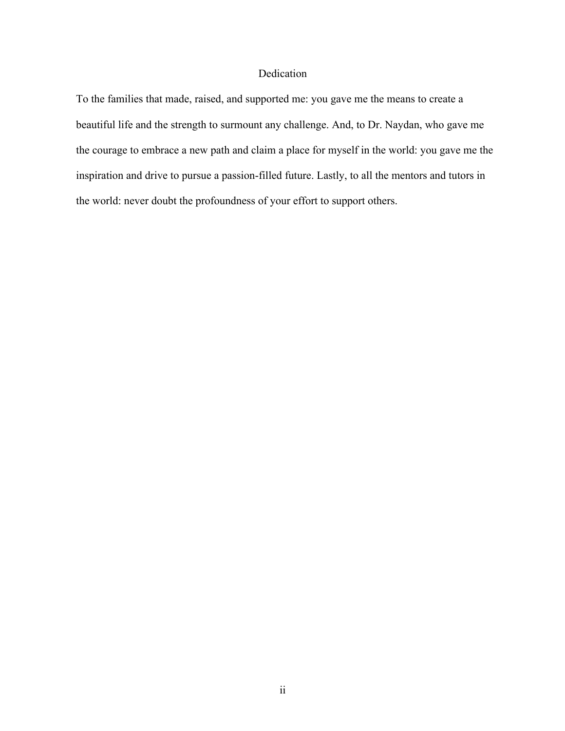## Dedication

To the families that made, raised, and supported me: you gave me the means to create a beautiful life and the strength to surmount any challenge. And, to Dr. Naydan, who gave me the courage to embrace a new path and claim a place for myself in the world: you gave me the inspiration and drive to pursue a passion-filled future. Lastly, to all the mentors and tutors in the world: never doubt the profoundness of your effort to support others.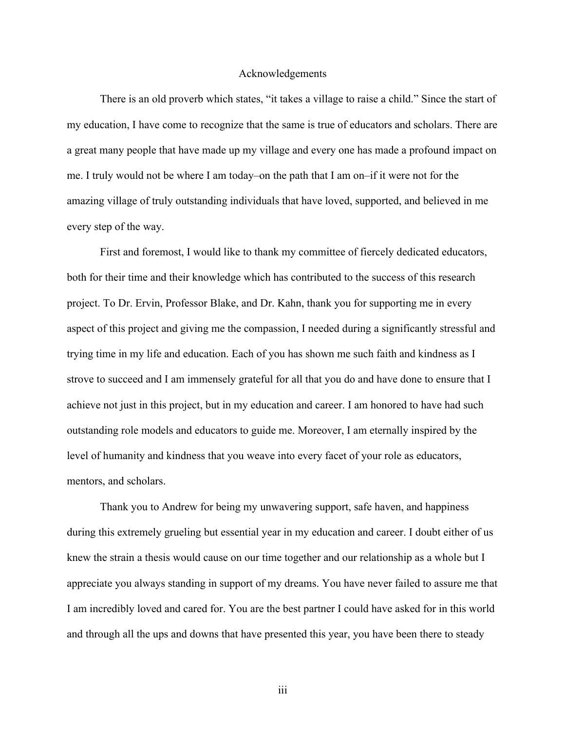#### Acknowledgements

There is an old proverb which states, "it takes a village to raise a child." Since the start of my education, I have come to recognize that the same is true of educators and scholars. There are a great many people that have made up my village and every one has made a profound impact on me. I truly would not be where I am today–on the path that I am on–if it were not for the amazing village of truly outstanding individuals that have loved, supported, and believed in me every step of the way.

First and foremost, I would like to thank my committee of fiercely dedicated educators, both for their time and their knowledge which has contributed to the success of this research project. To Dr. Ervin, Professor Blake, and Dr. Kahn, thank you for supporting me in every aspect of this project and giving me the compassion, I needed during a significantly stressful and trying time in my life and education. Each of you has shown me such faith and kindness as I strove to succeed and I am immensely grateful for all that you do and have done to ensure that I achieve not just in this project, but in my education and career. I am honored to have had such outstanding role models and educators to guide me. Moreover, I am eternally inspired by the level of humanity and kindness that you weave into every facet of your role as educators, mentors, and scholars.

Thank you to Andrew for being my unwavering support, safe haven, and happiness during this extremely grueling but essential year in my education and career. I doubt either of us knew the strain a thesis would cause on our time together and our relationship as a whole but I appreciate you always standing in support of my dreams. You have never failed to assure me that I am incredibly loved and cared for. You are the best partner I could have asked for in this world and through all the ups and downs that have presented this year, you have been there to steady

iii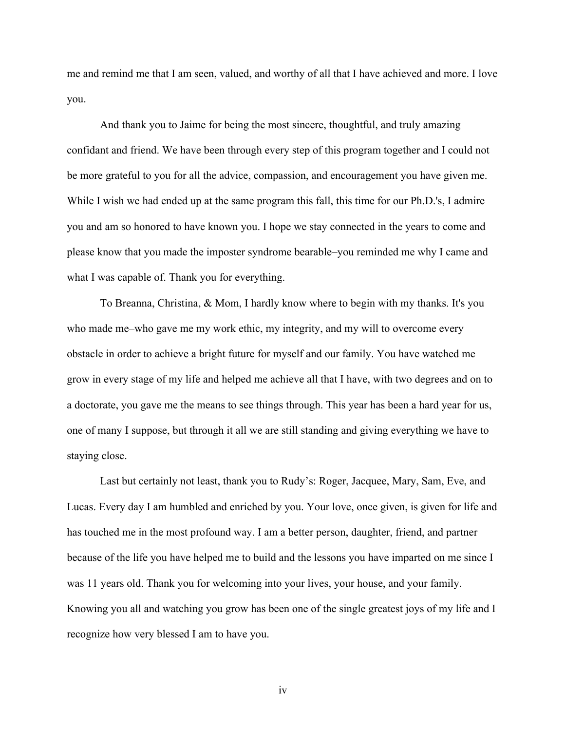me and remind me that I am seen, valued, and worthy of all that I have achieved and more. I love you.

And thank you to Jaime for being the most sincere, thoughtful, and truly amazing confidant and friend. We have been through every step of this program together and I could not be more grateful to you for all the advice, compassion, and encouragement you have given me. While I wish we had ended up at the same program this fall, this time for our Ph.D.'s, I admire you and am so honored to have known you. I hope we stay connected in the years to come and please know that you made the imposter syndrome bearable–you reminded me why I came and what I was capable of. Thank you for everything.

To Breanna, Christina, & Mom, I hardly know where to begin with my thanks. It's you who made me–who gave me my work ethic, my integrity, and my will to overcome every obstacle in order to achieve a bright future for myself and our family. You have watched me grow in every stage of my life and helped me achieve all that I have, with two degrees and on to a doctorate, you gave me the means to see things through. This year has been a hard year for us, one of many I suppose, but through it all we are still standing and giving everything we have to staying close.

Last but certainly not least, thank you to Rudy's: Roger, Jacquee, Mary, Sam, Eve, and Lucas. Every day I am humbled and enriched by you. Your love, once given, is given for life and has touched me in the most profound way. I am a better person, daughter, friend, and partner because of the life you have helped me to build and the lessons you have imparted on me since I was 11 years old. Thank you for welcoming into your lives, your house, and your family. Knowing you all and watching you grow has been one of the single greatest joys of my life and I recognize how very blessed I am to have you.

iv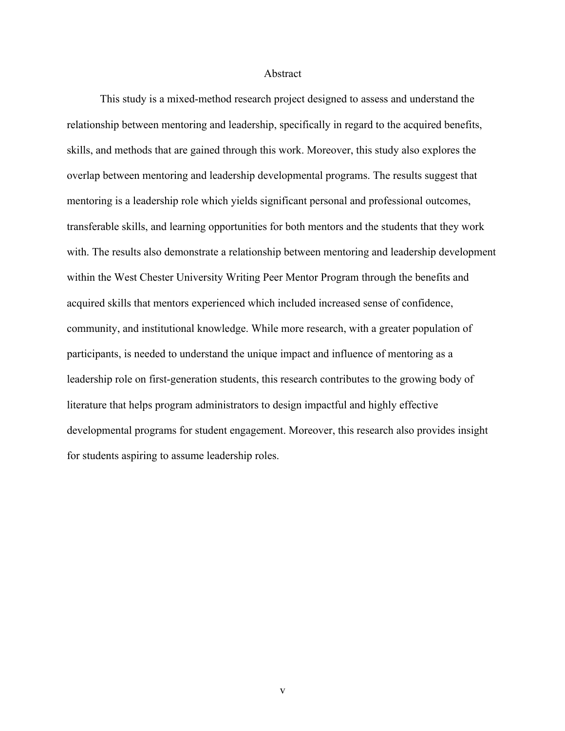#### Abstract

This study is a mixed-method research project designed to assess and understand the relationship between mentoring and leadership, specifically in regard to the acquired benefits, skills, and methods that are gained through this work. Moreover, this study also explores the overlap between mentoring and leadership developmental programs. The results suggest that mentoring is a leadership role which yields significant personal and professional outcomes, transferable skills, and learning opportunities for both mentors and the students that they work with. The results also demonstrate a relationship between mentoring and leadership development within the West Chester University Writing Peer Mentor Program through the benefits and acquired skills that mentors experienced which included increased sense of confidence, community, and institutional knowledge. While more research, with a greater population of participants, is needed to understand the unique impact and influence of mentoring as a leadership role on first-generation students, this research contributes to the growing body of literature that helps program administrators to design impactful and highly effective developmental programs for student engagement. Moreover, this research also provides insight for students aspiring to assume leadership roles.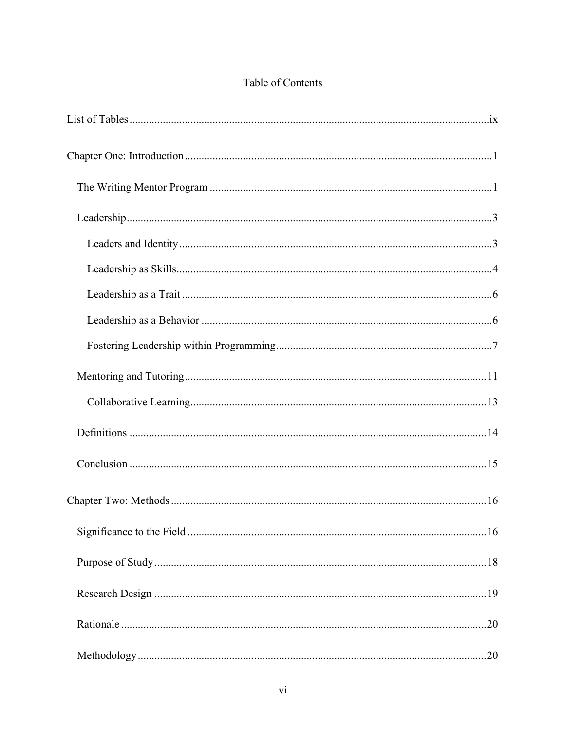# Table of Contents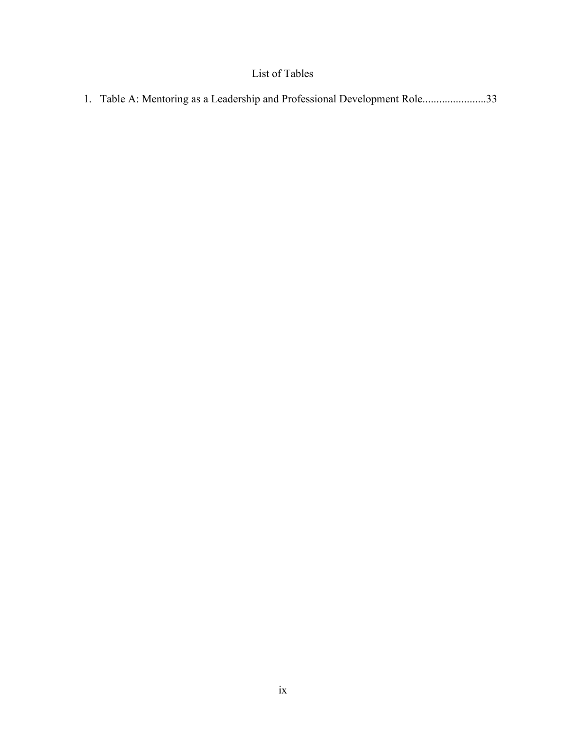# List of Tables

| 1. Table A: Mentoring as a Leadership and Professional Development Role33 |  |  |
|---------------------------------------------------------------------------|--|--|
|                                                                           |  |  |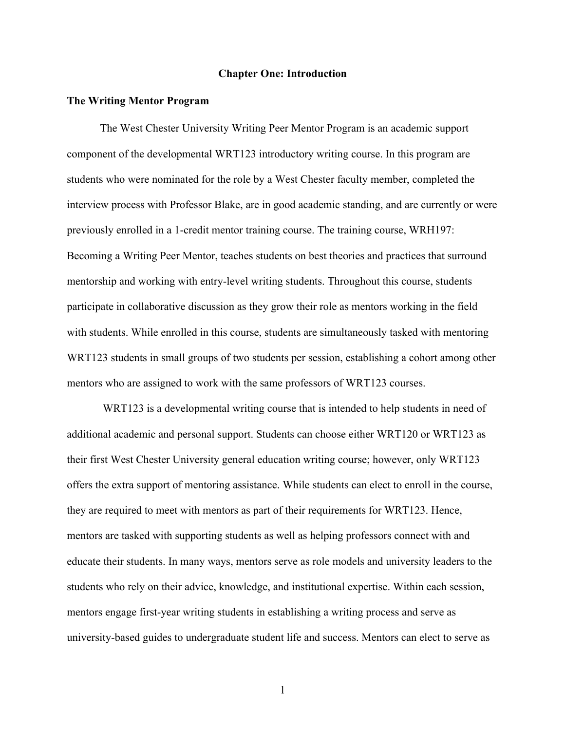#### **Chapter One: Introduction**

#### **The Writing Mentor Program**

The West Chester University Writing Peer Mentor Program is an academic support component of the developmental WRT123 introductory writing course. In this program are students who were nominated for the role by a West Chester faculty member, completed the interview process with Professor Blake, are in good academic standing, and are currently or were previously enrolled in a 1-credit mentor training course. The training course, WRH197: Becoming a Writing Peer Mentor, teaches students on best theories and practices that surround mentorship and working with entry-level writing students. Throughout this course, students participate in collaborative discussion as they grow their role as mentors working in the field with students. While enrolled in this course, students are simultaneously tasked with mentoring WRT123 students in small groups of two students per session, establishing a cohort among other mentors who are assigned to work with the same professors of WRT123 courses.

WRT123 is a developmental writing course that is intended to help students in need of additional academic and personal support. Students can choose either WRT120 or WRT123 as their first West Chester University general education writing course; however, only WRT123 offers the extra support of mentoring assistance. While students can elect to enroll in the course, they are required to meet with mentors as part of their requirements for WRT123. Hence, mentors are tasked with supporting students as well as helping professors connect with and educate their students. In many ways, mentors serve as role models and university leaders to the students who rely on their advice, knowledge, and institutional expertise. Within each session, mentors engage first-year writing students in establishing a writing process and serve as university-based guides to undergraduate student life and success. Mentors can elect to serve as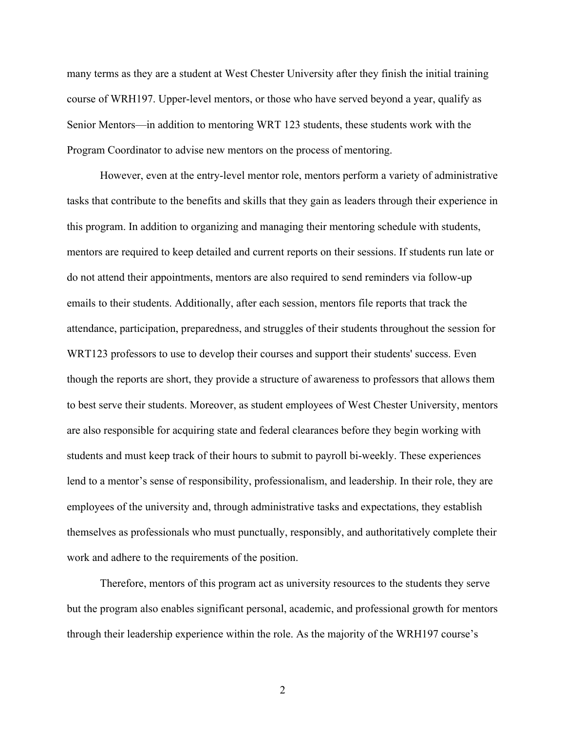many terms as they are a student at West Chester University after they finish the initial training course of WRH197. Upper-level mentors, or those who have served beyond a year, qualify as Senior Mentors—in addition to mentoring WRT 123 students, these students work with the Program Coordinator to advise new mentors on the process of mentoring.

However, even at the entry-level mentor role, mentors perform a variety of administrative tasks that contribute to the benefits and skills that they gain as leaders through their experience in this program. In addition to organizing and managing their mentoring schedule with students, mentors are required to keep detailed and current reports on their sessions. If students run late or do not attend their appointments, mentors are also required to send reminders via follow-up emails to their students. Additionally, after each session, mentors file reports that track the attendance, participation, preparedness, and struggles of their students throughout the session for WRT123 professors to use to develop their courses and support their students' success. Even though the reports are short, they provide a structure of awareness to professors that allows them to best serve their students. Moreover, as student employees of West Chester University, mentors are also responsible for acquiring state and federal clearances before they begin working with students and must keep track of their hours to submit to payroll bi-weekly. These experiences lend to a mentor's sense of responsibility, professionalism, and leadership. In their role, they are employees of the university and, through administrative tasks and expectations, they establish themselves as professionals who must punctually, responsibly, and authoritatively complete their work and adhere to the requirements of the position.

Therefore, mentors of this program act as university resources to the students they serve but the program also enables significant personal, academic, and professional growth for mentors through their leadership experience within the role. As the majority of the WRH197 course's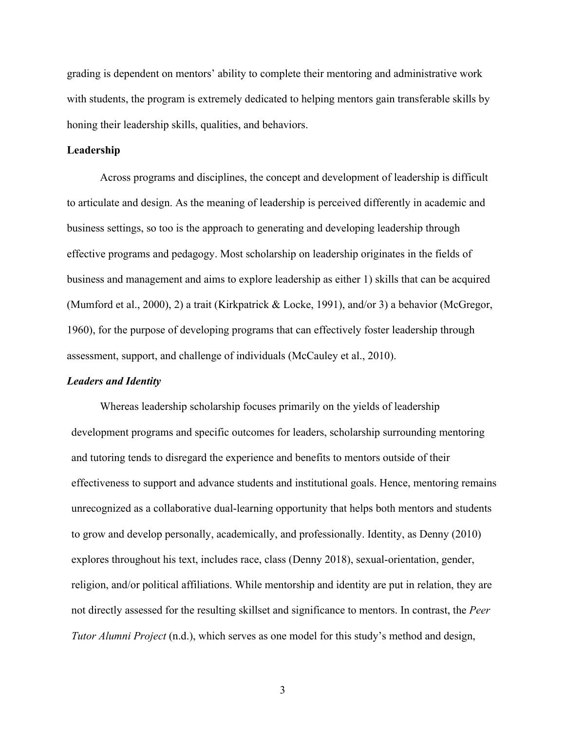grading is dependent on mentors' ability to complete their mentoring and administrative work with students, the program is extremely dedicated to helping mentors gain transferable skills by honing their leadership skills, qualities, and behaviors.

#### **Leadership**

Across programs and disciplines, the concept and development of leadership is difficult to articulate and design. As the meaning of leadership is perceived differently in academic and business settings, so too is the approach to generating and developing leadership through effective programs and pedagogy. Most scholarship on leadership originates in the fields of business and management and aims to explore leadership as either 1) skills that can be acquired (Mumford et al., 2000), 2) a trait (Kirkpatrick & Locke, 1991), and/or 3) a behavior (McGregor, 1960), for the purpose of developing programs that can effectively foster leadership through assessment, support, and challenge of individuals (McCauley et al., 2010).

## *Leaders and Identity*

Whereas leadership scholarship focuses primarily on the yields of leadership development programs and specific outcomes for leaders, scholarship surrounding mentoring and tutoring tends to disregard the experience and benefits to mentors outside of their effectiveness to support and advance students and institutional goals. Hence, mentoring remains unrecognized as a collaborative dual-learning opportunity that helps both mentors and students to grow and develop personally, academically, and professionally. Identity, as Denny (2010) explores throughout his text, includes race, class (Denny 2018), sexual-orientation, gender, religion, and/or political affiliations. While mentorship and identity are put in relation, they are not directly assessed for the resulting skillset and significance to mentors. In contrast, the *Peer Tutor Alumni Project* (n.d.), which serves as one model for this study's method and design,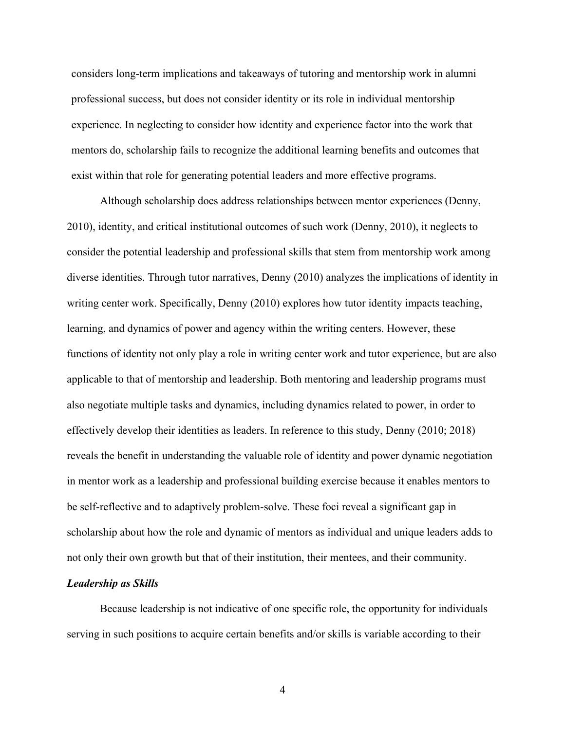considers long-term implications and takeaways of tutoring and mentorship work in alumni professional success, but does not consider identity or its role in individual mentorship experience. In neglecting to consider how identity and experience factor into the work that mentors do, scholarship fails to recognize the additional learning benefits and outcomes that exist within that role for generating potential leaders and more effective programs.

Although scholarship does address relationships between mentor experiences (Denny, 2010), identity, and critical institutional outcomes of such work (Denny, 2010), it neglects to consider the potential leadership and professional skills that stem from mentorship work among diverse identities. Through tutor narratives, Denny (2010) analyzes the implications of identity in writing center work. Specifically, Denny (2010) explores how tutor identity impacts teaching, learning, and dynamics of power and agency within the writing centers. However, these functions of identity not only play a role in writing center work and tutor experience, but are also applicable to that of mentorship and leadership. Both mentoring and leadership programs must also negotiate multiple tasks and dynamics, including dynamics related to power, in order to effectively develop their identities as leaders. In reference to this study, Denny (2010; 2018) reveals the benefit in understanding the valuable role of identity and power dynamic negotiation in mentor work as a leadership and professional building exercise because it enables mentors to be self-reflective and to adaptively problem-solve. These foci reveal a significant gap in scholarship about how the role and dynamic of mentors as individual and unique leaders adds to not only their own growth but that of their institution, their mentees, and their community.

## *Leadership as Skills*

Because leadership is not indicative of one specific role, the opportunity for individuals serving in such positions to acquire certain benefits and/or skills is variable according to their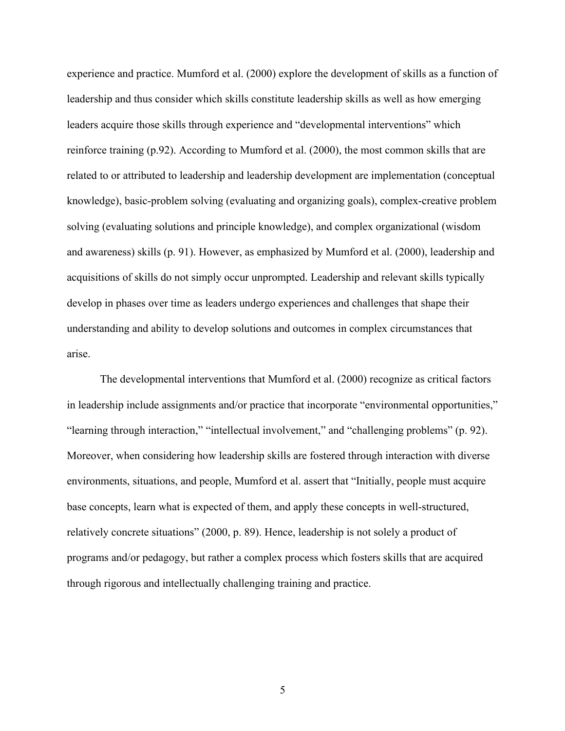experience and practice. Mumford et al. (2000) explore the development of skills as a function of leadership and thus consider which skills constitute leadership skills as well as how emerging leaders acquire those skills through experience and "developmental interventions" which reinforce training (p.92). According to Mumford et al. (2000), the most common skills that are related to or attributed to leadership and leadership development are implementation (conceptual knowledge), basic-problem solving (evaluating and organizing goals), complex-creative problem solving (evaluating solutions and principle knowledge), and complex organizational (wisdom and awareness) skills (p. 91). However, as emphasized by Mumford et al. (2000), leadership and acquisitions of skills do not simply occur unprompted. Leadership and relevant skills typically develop in phases over time as leaders undergo experiences and challenges that shape their understanding and ability to develop solutions and outcomes in complex circumstances that arise.

The developmental interventions that Mumford et al. (2000) recognize as critical factors in leadership include assignments and/or practice that incorporate "environmental opportunities," "learning through interaction," "intellectual involvement," and "challenging problems" (p. 92). Moreover, when considering how leadership skills are fostered through interaction with diverse environments, situations, and people, Mumford et al. assert that "Initially, people must acquire base concepts, learn what is expected of them, and apply these concepts in well-structured, relatively concrete situations" (2000, p. 89). Hence, leadership is not solely a product of programs and/or pedagogy, but rather a complex process which fosters skills that are acquired through rigorous and intellectually challenging training and practice.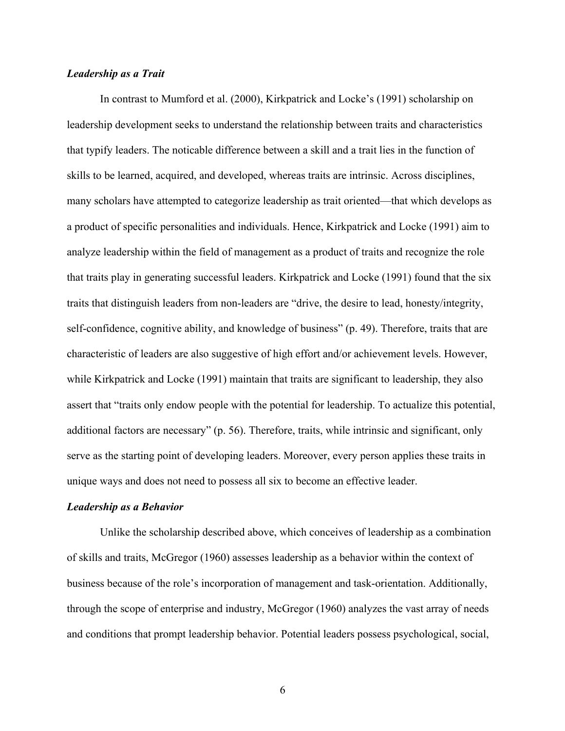## *Leadership as a Trait*

In contrast to Mumford et al. (2000), Kirkpatrick and Locke's (1991) scholarship on leadership development seeks to understand the relationship between traits and characteristics that typify leaders. The noticable difference between a skill and a trait lies in the function of skills to be learned, acquired, and developed, whereas traits are intrinsic. Across disciplines, many scholars have attempted to categorize leadership as trait oriented—that which develops as a product of specific personalities and individuals. Hence, Kirkpatrick and Locke (1991) aim to analyze leadership within the field of management as a product of traits and recognize the role that traits play in generating successful leaders. Kirkpatrick and Locke (1991) found that the six traits that distinguish leaders from non-leaders are "drive, the desire to lead, honesty/integrity, self-confidence, cognitive ability, and knowledge of business" (p. 49). Therefore, traits that are characteristic of leaders are also suggestive of high effort and/or achievement levels. However, while Kirkpatrick and Locke (1991) maintain that traits are significant to leadership, they also assert that "traits only endow people with the potential for leadership. To actualize this potential, additional factors are necessary" (p. 56). Therefore, traits, while intrinsic and significant, only serve as the starting point of developing leaders. Moreover, every person applies these traits in unique ways and does not need to possess all six to become an effective leader.

#### *Leadership as a Behavior*

Unlike the scholarship described above, which conceives of leadership as a combination of skills and traits, McGregor (1960) assesses leadership as a behavior within the context of business because of the role's incorporation of management and task-orientation. Additionally, through the scope of enterprise and industry, McGregor (1960) analyzes the vast array of needs and conditions that prompt leadership behavior. Potential leaders possess psychological, social,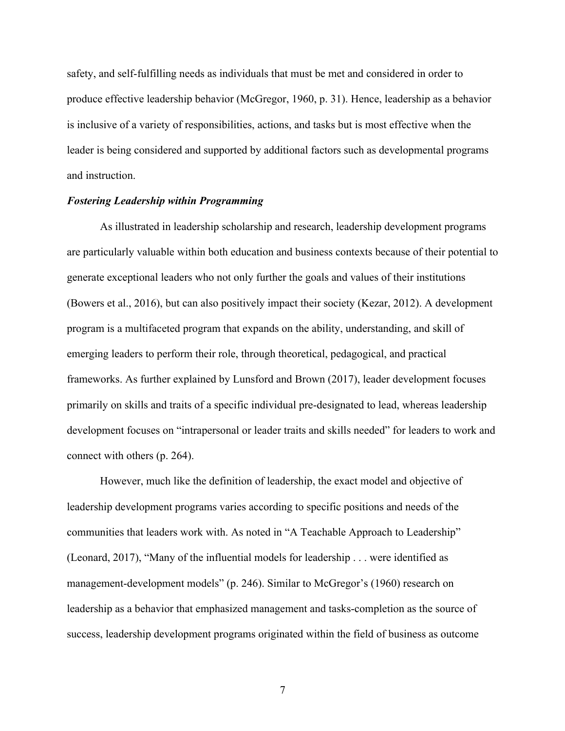safety, and self-fulfilling needs as individuals that must be met and considered in order to produce effective leadership behavior (McGregor, 1960, p. 31). Hence, leadership as a behavior is inclusive of a variety of responsibilities, actions, and tasks but is most effective when the leader is being considered and supported by additional factors such as developmental programs and instruction.

#### *Fostering Leadership within Programming*

As illustrated in leadership scholarship and research, leadership development programs are particularly valuable within both education and business contexts because of their potential to generate exceptional leaders who not only further the goals and values of their institutions (Bowers et al., 2016), but can also positively impact their society (Kezar, 2012). A development program is a multifaceted program that expands on the ability, understanding, and skill of emerging leaders to perform their role, through theoretical, pedagogical, and practical frameworks. As further explained by Lunsford and Brown (2017), leader development focuses primarily on skills and traits of a specific individual pre-designated to lead, whereas leadership development focuses on "intrapersonal or leader traits and skills needed" for leaders to work and connect with others (p. 264).

However, much like the definition of leadership, the exact model and objective of leadership development programs varies according to specific positions and needs of the communities that leaders work with. As noted in "A Teachable Approach to Leadership" (Leonard, 2017), "Many of the influential models for leadership . . . were identified as management-development models" (p. 246). Similar to McGregor's (1960) research on leadership as a behavior that emphasized management and tasks-completion as the source of success, leadership development programs originated within the field of business as outcome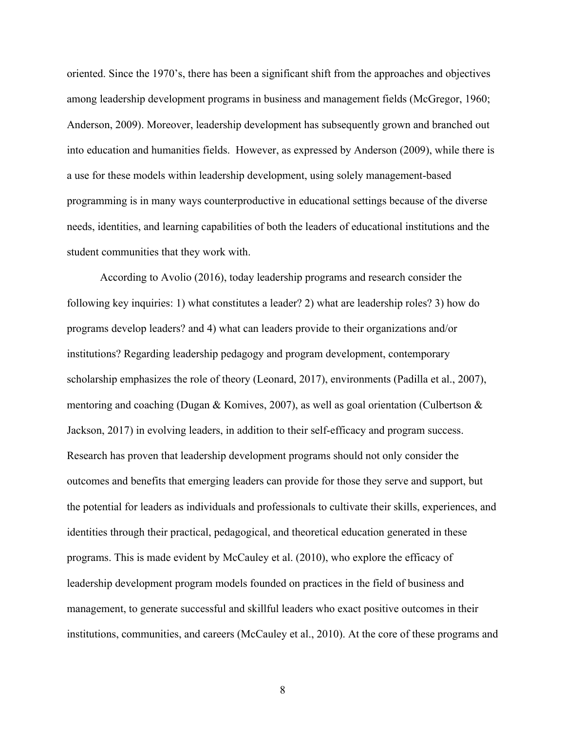oriented. Since the 1970's, there has been a significant shift from the approaches and objectives among leadership development programs in business and management fields (McGregor, 1960; Anderson, 2009). Moreover, leadership development has subsequently grown and branched out into education and humanities fields. However, as expressed by Anderson (2009), while there is a use for these models within leadership development, using solely management-based programming is in many ways counterproductive in educational settings because of the diverse needs, identities, and learning capabilities of both the leaders of educational institutions and the student communities that they work with.

According to Avolio (2016), today leadership programs and research consider the following key inquiries: 1) what constitutes a leader? 2) what are leadership roles? 3) how do programs develop leaders? and 4) what can leaders provide to their organizations and/or institutions? Regarding leadership pedagogy and program development, contemporary scholarship emphasizes the role of theory (Leonard, 2017), environments (Padilla et al., 2007), mentoring and coaching (Dugan & Komives, 2007), as well as goal orientation (Culbertson & Jackson, 2017) in evolving leaders, in addition to their self-efficacy and program success. Research has proven that leadership development programs should not only consider the outcomes and benefits that emerging leaders can provide for those they serve and support, but the potential for leaders as individuals and professionals to cultivate their skills, experiences, and identities through their practical, pedagogical, and theoretical education generated in these programs. This is made evident by McCauley et al. (2010), who explore the efficacy of leadership development program models founded on practices in the field of business and management, to generate successful and skillful leaders who exact positive outcomes in their institutions, communities, and careers (McCauley et al., 2010). At the core of these programs and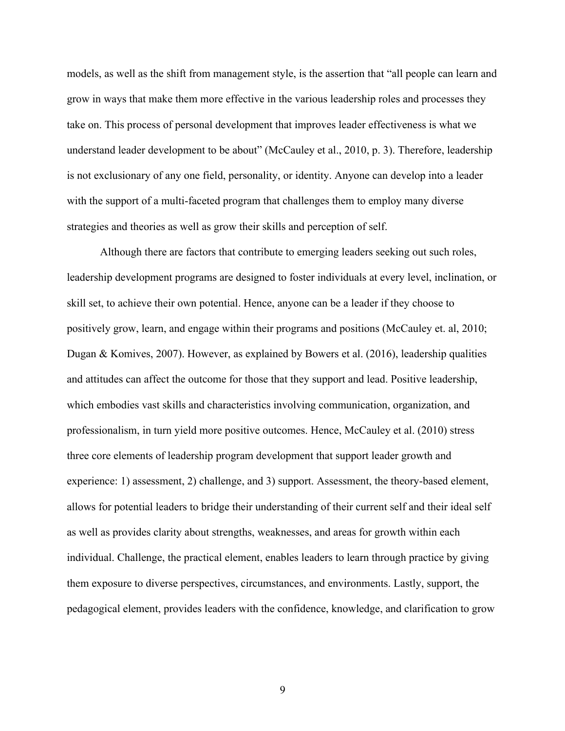models, as well as the shift from management style, is the assertion that "all people can learn and grow in ways that make them more effective in the various leadership roles and processes they take on. This process of personal development that improves leader effectiveness is what we understand leader development to be about" (McCauley et al., 2010, p. 3). Therefore, leadership is not exclusionary of any one field, personality, or identity. Anyone can develop into a leader with the support of a multi-faceted program that challenges them to employ many diverse strategies and theories as well as grow their skills and perception of self.

Although there are factors that contribute to emerging leaders seeking out such roles, leadership development programs are designed to foster individuals at every level, inclination, or skill set, to achieve their own potential. Hence, anyone can be a leader if they choose to positively grow, learn, and engage within their programs and positions (McCauley et. al, 2010; Dugan & Komives, 2007). However, as explained by Bowers et al. (2016), leadership qualities and attitudes can affect the outcome for those that they support and lead. Positive leadership, which embodies vast skills and characteristics involving communication, organization, and professionalism, in turn yield more positive outcomes. Hence, McCauley et al. (2010) stress three core elements of leadership program development that support leader growth and experience: 1) assessment, 2) challenge, and 3) support. Assessment, the theory-based element, allows for potential leaders to bridge their understanding of their current self and their ideal self as well as provides clarity about strengths, weaknesses, and areas for growth within each individual. Challenge, the practical element, enables leaders to learn through practice by giving them exposure to diverse perspectives, circumstances, and environments. Lastly, support, the pedagogical element, provides leaders with the confidence, knowledge, and clarification to grow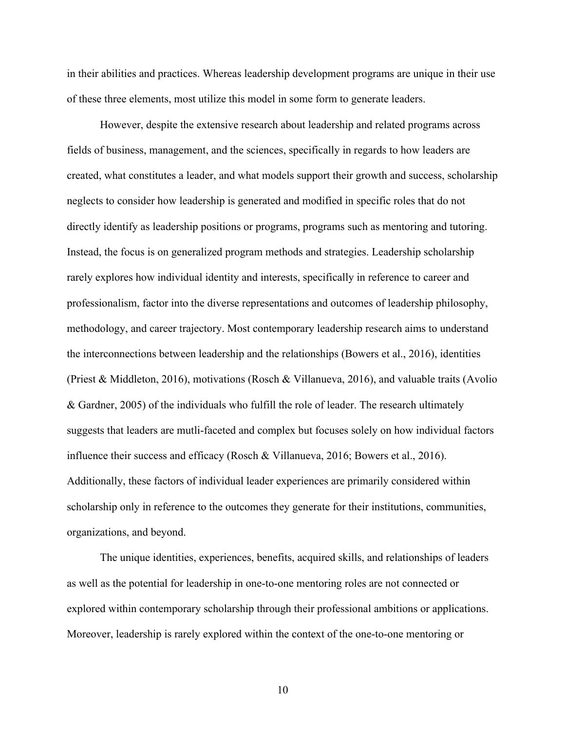in their abilities and practices. Whereas leadership development programs are unique in their use of these three elements, most utilize this model in some form to generate leaders.

However, despite the extensive research about leadership and related programs across fields of business, management, and the sciences, specifically in regards to how leaders are created, what constitutes a leader, and what models support their growth and success, scholarship neglects to consider how leadership is generated and modified in specific roles that do not directly identify as leadership positions or programs, programs such as mentoring and tutoring. Instead, the focus is on generalized program methods and strategies. Leadership scholarship rarely explores how individual identity and interests, specifically in reference to career and professionalism, factor into the diverse representations and outcomes of leadership philosophy, methodology, and career trajectory. Most contemporary leadership research aims to understand the interconnections between leadership and the relationships (Bowers et al., 2016), identities (Priest & Middleton, 2016), motivations (Rosch & Villanueva, 2016), and valuable traits (Avolio & Gardner, 2005) of the individuals who fulfill the role of leader. The research ultimately suggests that leaders are mutli-faceted and complex but focuses solely on how individual factors influence their success and efficacy (Rosch & Villanueva, 2016; Bowers et al., 2016). Additionally, these factors of individual leader experiences are primarily considered within scholarship only in reference to the outcomes they generate for their institutions, communities, organizations, and beyond.

The unique identities, experiences, benefits, acquired skills, and relationships of leaders as well as the potential for leadership in one-to-one mentoring roles are not connected or explored within contemporary scholarship through their professional ambitions or applications. Moreover, leadership is rarely explored within the context of the one-to-one mentoring or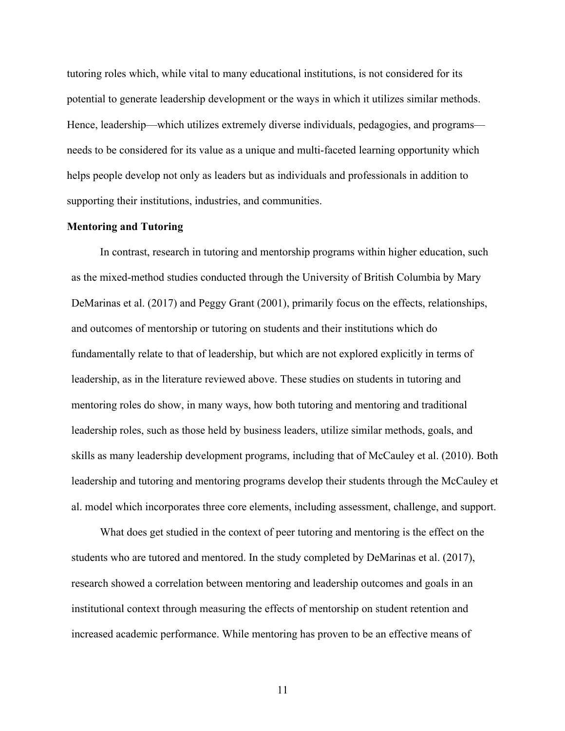tutoring roles which, while vital to many educational institutions, is not considered for its potential to generate leadership development or the ways in which it utilizes similar methods. Hence, leadership—which utilizes extremely diverse individuals, pedagogies, and programs needs to be considered for its value as a unique and multi-faceted learning opportunity which helps people develop not only as leaders but as individuals and professionals in addition to supporting their institutions, industries, and communities.

#### **Mentoring and Tutoring**

In contrast, research in tutoring and mentorship programs within higher education, such as the mixed-method studies conducted through the University of British Columbia by Mary DeMarinas et al. (2017) and Peggy Grant (2001), primarily focus on the effects, relationships, and outcomes of mentorship or tutoring on students and their institutions which do fundamentally relate to that of leadership, but which are not explored explicitly in terms of leadership, as in the literature reviewed above. These studies on students in tutoring and mentoring roles do show, in many ways, how both tutoring and mentoring and traditional leadership roles, such as those held by business leaders, utilize similar methods, goals, and skills as many leadership development programs, including that of McCauley et al. (2010). Both leadership and tutoring and mentoring programs develop their students through the McCauley et al. model which incorporates three core elements, including assessment, challenge, and support.

What does get studied in the context of peer tutoring and mentoring is the effect on the students who are tutored and mentored. In the study completed by DeMarinas et al. (2017), research showed a correlation between mentoring and leadership outcomes and goals in an institutional context through measuring the effects of mentorship on student retention and increased academic performance. While mentoring has proven to be an effective means of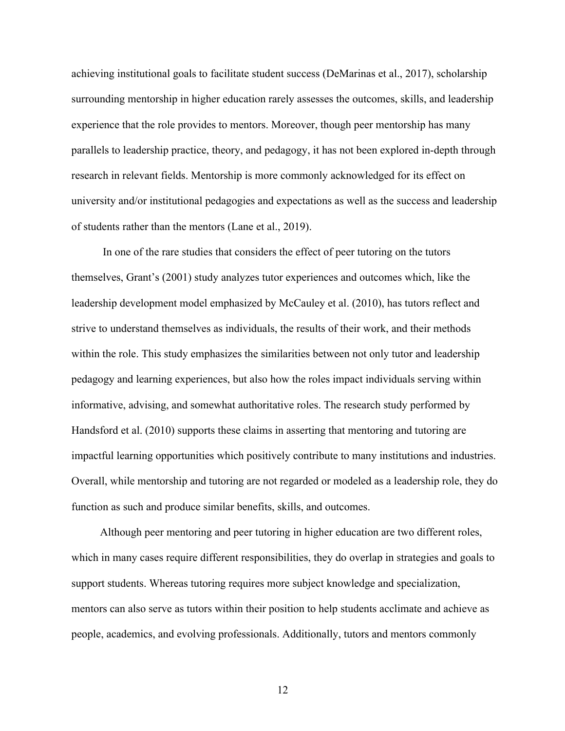achieving institutional goals to facilitate student success (DeMarinas et al., 2017), scholarship surrounding mentorship in higher education rarely assesses the outcomes, skills, and leadership experience that the role provides to mentors. Moreover, though peer mentorship has many parallels to leadership practice, theory, and pedagogy, it has not been explored in-depth through research in relevant fields. Mentorship is more commonly acknowledged for its effect on university and/or institutional pedagogies and expectations as well as the success and leadership of students rather than the mentors (Lane et al., 2019).

In one of the rare studies that considers the effect of peer tutoring on the tutors themselves, Grant's (2001) study analyzes tutor experiences and outcomes which, like the leadership development model emphasized by McCauley et al. (2010), has tutors reflect and strive to understand themselves as individuals, the results of their work, and their methods within the role. This study emphasizes the similarities between not only tutor and leadership pedagogy and learning experiences, but also how the roles impact individuals serving within informative, advising, and somewhat authoritative roles. The research study performed by Handsford et al. (2010) supports these claims in asserting that mentoring and tutoring are impactful learning opportunities which positively contribute to many institutions and industries. Overall, while mentorship and tutoring are not regarded or modeled as a leadership role, they do function as such and produce similar benefits, skills, and outcomes.

Although peer mentoring and peer tutoring in higher education are two different roles, which in many cases require different responsibilities, they do overlap in strategies and goals to support students. Whereas tutoring requires more subject knowledge and specialization, mentors can also serve as tutors within their position to help students acclimate and achieve as people, academics, and evolving professionals. Additionally, tutors and mentors commonly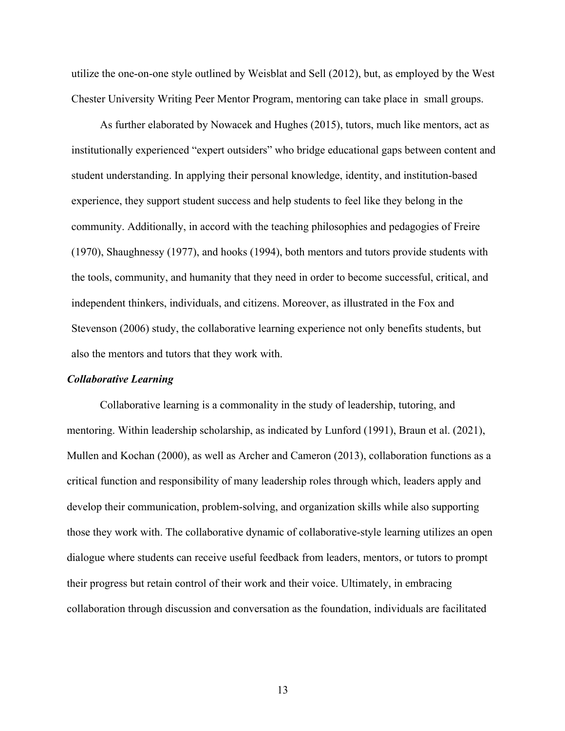utilize the one-on-one style outlined by Weisblat and Sell (2012), but, as employed by the West Chester University Writing Peer Mentor Program, mentoring can take place in small groups.

As further elaborated by Nowacek and Hughes (2015), tutors, much like mentors, act as institutionally experienced "expert outsiders" who bridge educational gaps between content and student understanding. In applying their personal knowledge, identity, and institution-based experience, they support student success and help students to feel like they belong in the community. Additionally, in accord with the teaching philosophies and pedagogies of Freire (1970), Shaughnessy (1977), and hooks (1994), both mentors and tutors provide students with the tools, community, and humanity that they need in order to become successful, critical, and independent thinkers, individuals, and citizens. Moreover, as illustrated in the Fox and Stevenson (2006) study, the collaborative learning experience not only benefits students, but also the mentors and tutors that they work with.

#### *Collaborative Learning*

Collaborative learning is a commonality in the study of leadership, tutoring, and mentoring. Within leadership scholarship, as indicated by Lunford (1991), Braun et al. (2021), Mullen and Kochan (2000), as well as Archer and Cameron (2013), collaboration functions as a critical function and responsibility of many leadership roles through which, leaders apply and develop their communication, problem-solving, and organization skills while also supporting those they work with. The collaborative dynamic of collaborative-style learning utilizes an open dialogue where students can receive useful feedback from leaders, mentors, or tutors to prompt their progress but retain control of their work and their voice. Ultimately, in embracing collaboration through discussion and conversation as the foundation, individuals are facilitated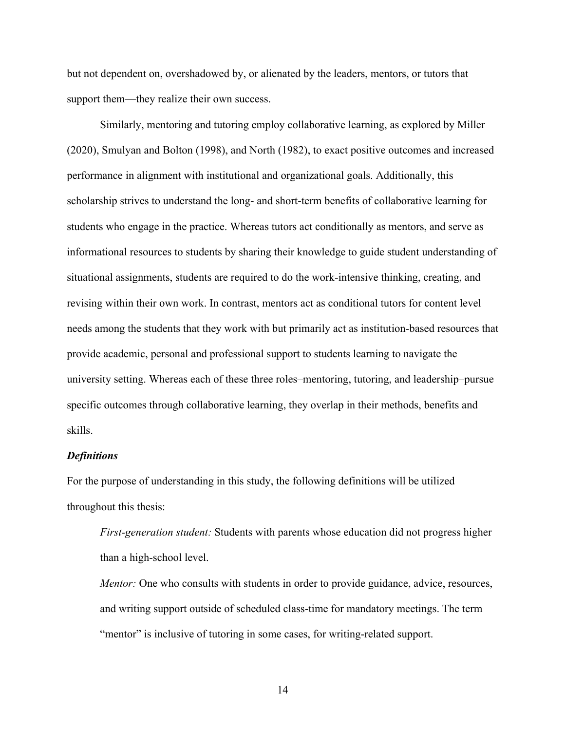but not dependent on, overshadowed by, or alienated by the leaders, mentors, or tutors that support them—they realize their own success.

Similarly, mentoring and tutoring employ collaborative learning, as explored by Miller (2020), Smulyan and Bolton (1998), and North (1982), to exact positive outcomes and increased performance in alignment with institutional and organizational goals. Additionally, this scholarship strives to understand the long- and short-term benefits of collaborative learning for students who engage in the practice. Whereas tutors act conditionally as mentors, and serve as informational resources to students by sharing their knowledge to guide student understanding of situational assignments, students are required to do the work-intensive thinking, creating, and revising within their own work. In contrast, mentors act as conditional tutors for content level needs among the students that they work with but primarily act as institution-based resources that provide academic, personal and professional support to students learning to navigate the university setting. Whereas each of these three roles–mentoring, tutoring, and leadership–pursue specific outcomes through collaborative learning, they overlap in their methods, benefits and skills.

## *Definitions*

For the purpose of understanding in this study, the following definitions will be utilized throughout this thesis:

*First-generation student:* Students with parents whose education did not progress higher than a high-school level.

*Mentor:* One who consults with students in order to provide guidance, advice, resources, and writing support outside of scheduled class-time for mandatory meetings. The term "mentor" is inclusive of tutoring in some cases, for writing-related support.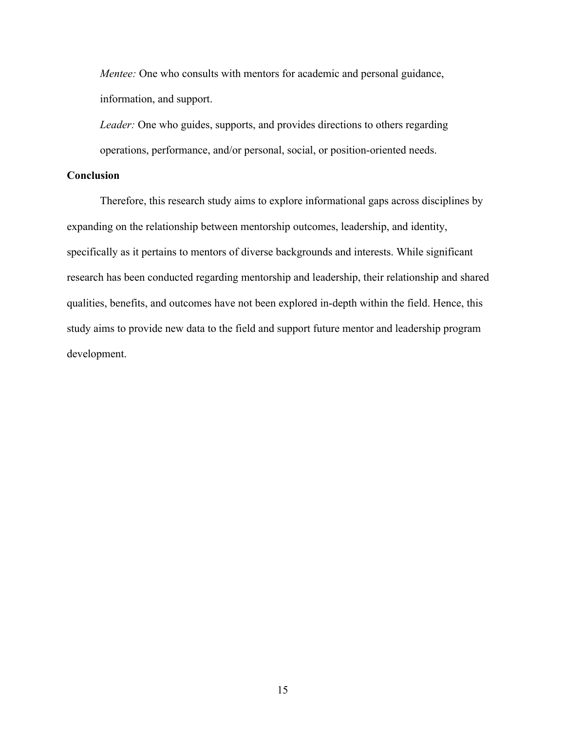*Mentee:* One who consults with mentors for academic and personal guidance, information, and support.

*Leader:* One who guides, supports, and provides directions to others regarding operations, performance, and/or personal, social, or position-oriented needs.

## **Conclusion**

Therefore, this research study aims to explore informational gaps across disciplines by expanding on the relationship between mentorship outcomes, leadership, and identity, specifically as it pertains to mentors of diverse backgrounds and interests. While significant research has been conducted regarding mentorship and leadership, their relationship and shared qualities, benefits, and outcomes have not been explored in-depth within the field. Hence, this study aims to provide new data to the field and support future mentor and leadership program development.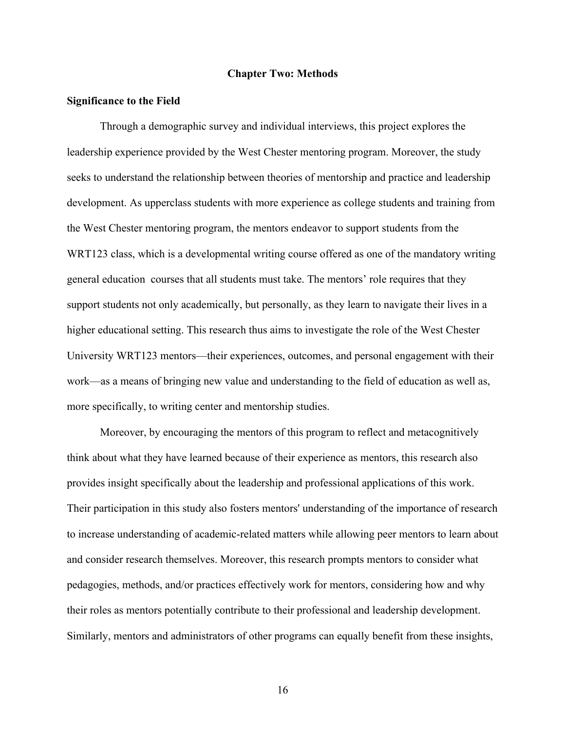#### **Chapter Two: Methods**

#### **Significance to the Field**

Through a demographic survey and individual interviews, this project explores the leadership experience provided by the West Chester mentoring program. Moreover, the study seeks to understand the relationship between theories of mentorship and practice and leadership development. As upperclass students with more experience as college students and training from the West Chester mentoring program, the mentors endeavor to support students from the WRT123 class, which is a developmental writing course offered as one of the mandatory writing general education courses that all students must take. The mentors' role requires that they support students not only academically, but personally, as they learn to navigate their lives in a higher educational setting. This research thus aims to investigate the role of the West Chester University WRT123 mentors—their experiences, outcomes, and personal engagement with their work—as a means of bringing new value and understanding to the field of education as well as, more specifically, to writing center and mentorship studies.

Moreover, by encouraging the mentors of this program to reflect and metacognitively think about what they have learned because of their experience as mentors, this research also provides insight specifically about the leadership and professional applications of this work. Their participation in this study also fosters mentors' understanding of the importance of research to increase understanding of academic-related matters while allowing peer mentors to learn about and consider research themselves. Moreover, this research prompts mentors to consider what pedagogies, methods, and/or practices effectively work for mentors, considering how and why their roles as mentors potentially contribute to their professional and leadership development. Similarly, mentors and administrators of other programs can equally benefit from these insights,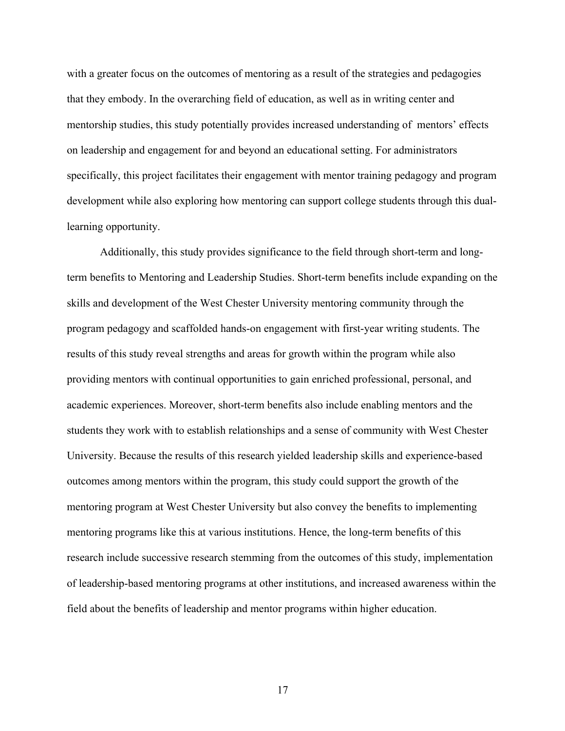with a greater focus on the outcomes of mentoring as a result of the strategies and pedagogies that they embody. In the overarching field of education, as well as in writing center and mentorship studies, this study potentially provides increased understanding of mentors' effects on leadership and engagement for and beyond an educational setting. For administrators specifically, this project facilitates their engagement with mentor training pedagogy and program development while also exploring how mentoring can support college students through this duallearning opportunity.

Additionally, this study provides significance to the field through short-term and longterm benefits to Mentoring and Leadership Studies. Short-term benefits include expanding on the skills and development of the West Chester University mentoring community through the program pedagogy and scaffolded hands-on engagement with first-year writing students. The results of this study reveal strengths and areas for growth within the program while also providing mentors with continual opportunities to gain enriched professional, personal, and academic experiences. Moreover, short-term benefits also include enabling mentors and the students they work with to establish relationships and a sense of community with West Chester University. Because the results of this research yielded leadership skills and experience-based outcomes among mentors within the program, this study could support the growth of the mentoring program at West Chester University but also convey the benefits to implementing mentoring programs like this at various institutions. Hence, the long-term benefits of this research include successive research stemming from the outcomes of this study, implementation of leadership-based mentoring programs at other institutions, and increased awareness within the field about the benefits of leadership and mentor programs within higher education.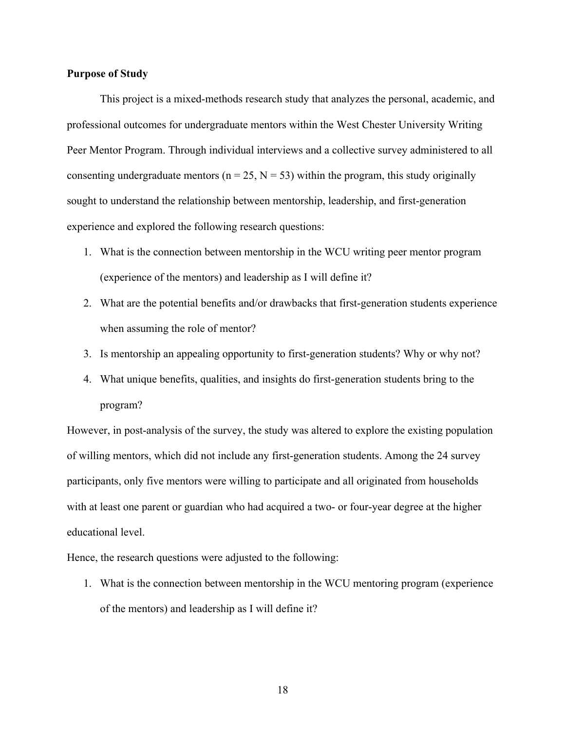#### **Purpose of Study**

This project is a mixed-methods research study that analyzes the personal, academic, and professional outcomes for undergraduate mentors within the West Chester University Writing Peer Mentor Program. Through individual interviews and a collective survey administered to all consenting undergraduate mentors ( $n = 25$ ,  $N = 53$ ) within the program, this study originally sought to understand the relationship between mentorship, leadership, and first-generation experience and explored the following research questions:

- 1. What is the connection between mentorship in the WCU writing peer mentor program (experience of the mentors) and leadership as I will define it?
- 2. What are the potential benefits and/or drawbacks that first-generation students experience when assuming the role of mentor?
- 3. Is mentorship an appealing opportunity to first-generation students? Why or why not?
- 4. What unique benefits, qualities, and insights do first-generation students bring to the program?

However, in post-analysis of the survey, the study was altered to explore the existing population of willing mentors, which did not include any first-generation students. Among the 24 survey participants, only five mentors were willing to participate and all originated from households with at least one parent or guardian who had acquired a two- or four-year degree at the higher educational level.

Hence, the research questions were adjusted to the following:

1. What is the connection between mentorship in the WCU mentoring program (experience of the mentors) and leadership as I will define it?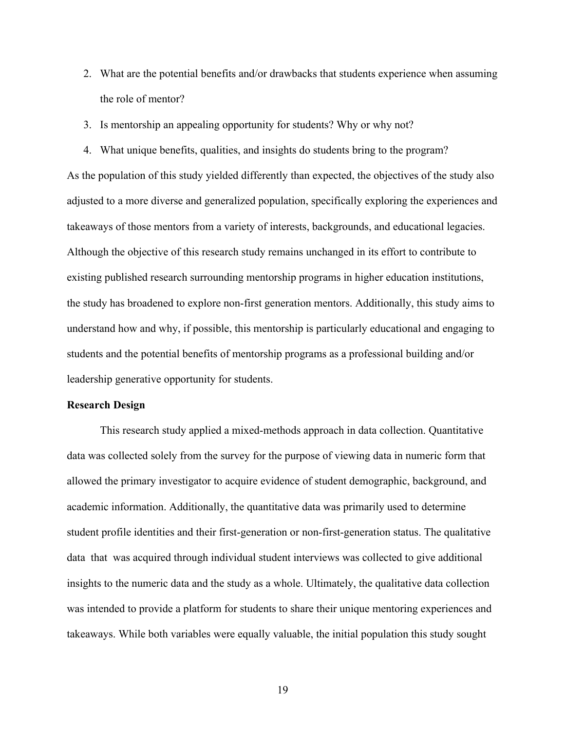- 2. What are the potential benefits and/or drawbacks that students experience when assuming the role of mentor?
- 3. Is mentorship an appealing opportunity for students? Why or why not?
- 4. What unique benefits, qualities, and insights do students bring to the program?

As the population of this study yielded differently than expected, the objectives of the study also adjusted to a more diverse and generalized population, specifically exploring the experiences and takeaways of those mentors from a variety of interests, backgrounds, and educational legacies. Although the objective of this research study remains unchanged in its effort to contribute to existing published research surrounding mentorship programs in higher education institutions, the study has broadened to explore non-first generation mentors. Additionally, this study aims to understand how and why, if possible, this mentorship is particularly educational and engaging to students and the potential benefits of mentorship programs as a professional building and/or leadership generative opportunity for students.

#### **Research Design**

This research study applied a mixed-methods approach in data collection. Quantitative data was collected solely from the survey for the purpose of viewing data in numeric form that allowed the primary investigator to acquire evidence of student demographic, background, and academic information. Additionally, the quantitative data was primarily used to determine student profile identities and their first-generation or non-first-generation status. The qualitative data that was acquired through individual student interviews was collected to give additional insights to the numeric data and the study as a whole. Ultimately, the qualitative data collection was intended to provide a platform for students to share their unique mentoring experiences and takeaways. While both variables were equally valuable, the initial population this study sought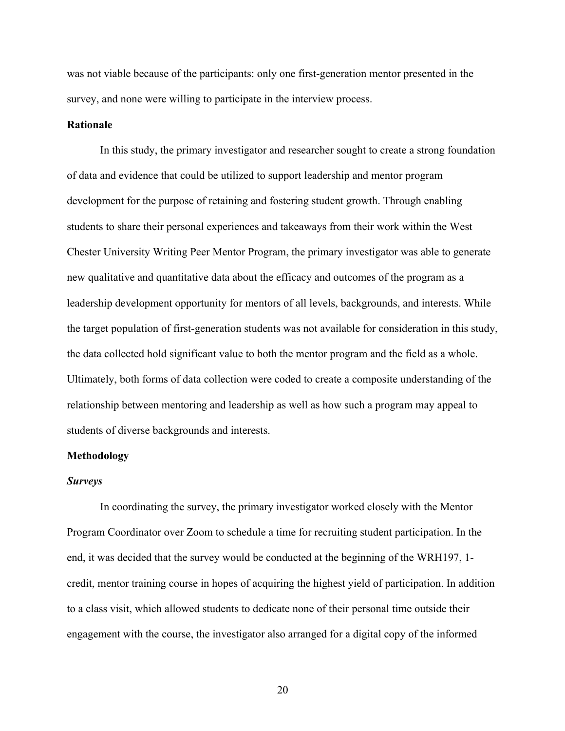was not viable because of the participants: only one first-generation mentor presented in the survey, and none were willing to participate in the interview process.

#### **Rationale**

In this study, the primary investigator and researcher sought to create a strong foundation of data and evidence that could be utilized to support leadership and mentor program development for the purpose of retaining and fostering student growth. Through enabling students to share their personal experiences and takeaways from their work within the West Chester University Writing Peer Mentor Program, the primary investigator was able to generate new qualitative and quantitative data about the efficacy and outcomes of the program as a leadership development opportunity for mentors of all levels, backgrounds, and interests. While the target population of first-generation students was not available for consideration in this study, the data collected hold significant value to both the mentor program and the field as a whole. Ultimately, both forms of data collection were coded to create a composite understanding of the relationship between mentoring and leadership as well as how such a program may appeal to students of diverse backgrounds and interests.

## **Methodology**

#### *Surveys*

In coordinating the survey, the primary investigator worked closely with the Mentor Program Coordinator over Zoom to schedule a time for recruiting student participation. In the end, it was decided that the survey would be conducted at the beginning of the WRH197, 1 credit, mentor training course in hopes of acquiring the highest yield of participation. In addition to a class visit, which allowed students to dedicate none of their personal time outside their engagement with the course, the investigator also arranged for a digital copy of the informed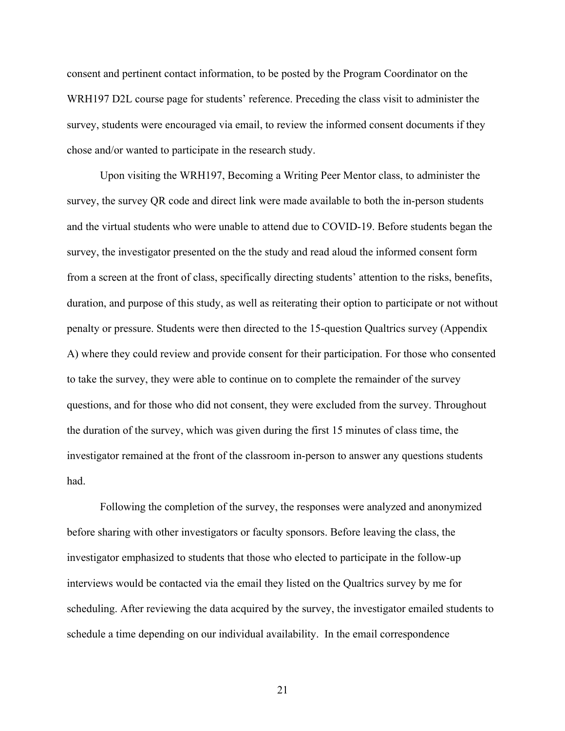consent and pertinent contact information, to be posted by the Program Coordinator on the WRH197 D2L course page for students' reference. Preceding the class visit to administer the survey, students were encouraged via email, to review the informed consent documents if they chose and/or wanted to participate in the research study.

Upon visiting the WRH197, Becoming a Writing Peer Mentor class, to administer the survey, the survey QR code and direct link were made available to both the in-person students and the virtual students who were unable to attend due to COVID-19. Before students began the survey, the investigator presented on the the study and read aloud the informed consent form from a screen at the front of class, specifically directing students' attention to the risks, benefits, duration, and purpose of this study, as well as reiterating their option to participate or not without penalty or pressure. Students were then directed to the 15-question Qualtrics survey (Appendix A) where they could review and provide consent for their participation. For those who consented to take the survey, they were able to continue on to complete the remainder of the survey questions, and for those who did not consent, they were excluded from the survey. Throughout the duration of the survey, which was given during the first 15 minutes of class time, the investigator remained at the front of the classroom in-person to answer any questions students had.

Following the completion of the survey, the responses were analyzed and anonymized before sharing with other investigators or faculty sponsors. Before leaving the class, the investigator emphasized to students that those who elected to participate in the follow-up interviews would be contacted via the email they listed on the Qualtrics survey by me for scheduling. After reviewing the data acquired by the survey, the investigator emailed students to schedule a time depending on our individual availability. In the email correspondence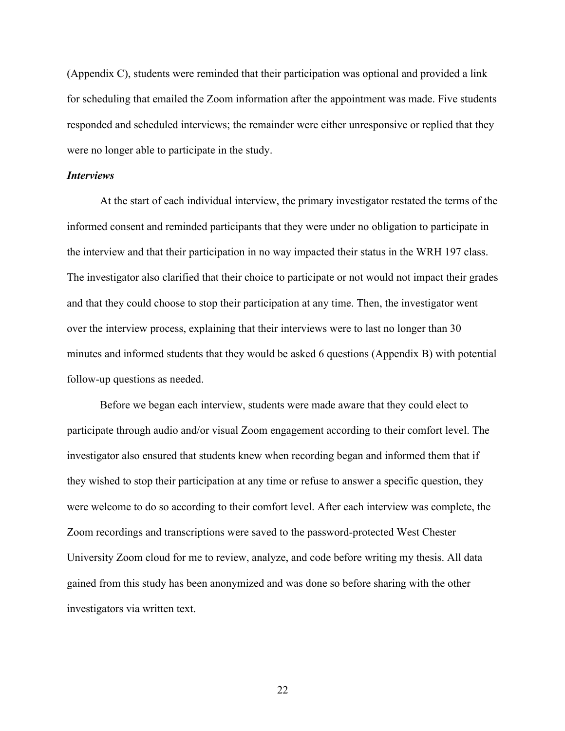(Appendix C), students were reminded that their participation was optional and provided a link for scheduling that emailed the Zoom information after the appointment was made. Five students responded and scheduled interviews; the remainder were either unresponsive or replied that they were no longer able to participate in the study.

#### *Interviews*

At the start of each individual interview, the primary investigator restated the terms of the informed consent and reminded participants that they were under no obligation to participate in the interview and that their participation in no way impacted their status in the WRH 197 class. The investigator also clarified that their choice to participate or not would not impact their grades and that they could choose to stop their participation at any time. Then, the investigator went over the interview process, explaining that their interviews were to last no longer than 30 minutes and informed students that they would be asked 6 questions (Appendix B) with potential follow-up questions as needed.

Before we began each interview, students were made aware that they could elect to participate through audio and/or visual Zoom engagement according to their comfort level. The investigator also ensured that students knew when recording began and informed them that if they wished to stop their participation at any time or refuse to answer a specific question, they were welcome to do so according to their comfort level. After each interview was complete, the Zoom recordings and transcriptions were saved to the password-protected West Chester University Zoom cloud for me to review, analyze, and code before writing my thesis. All data gained from this study has been anonymized and was done so before sharing with the other investigators via written text.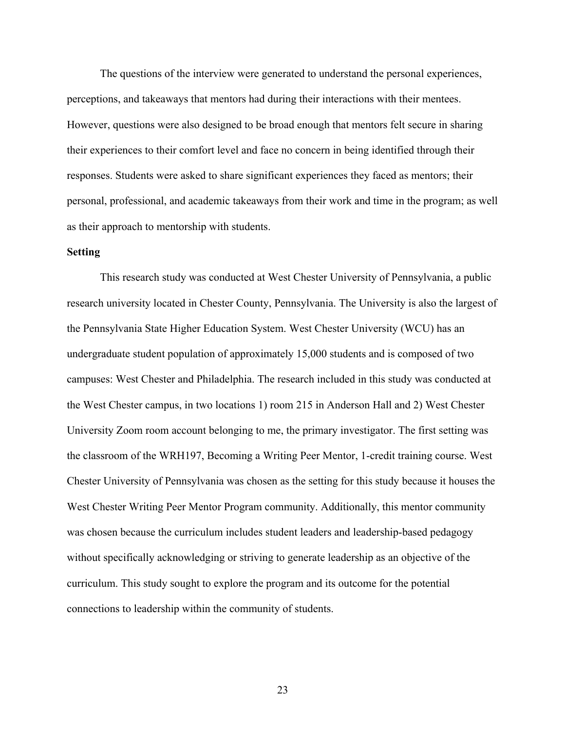The questions of the interview were generated to understand the personal experiences, perceptions, and takeaways that mentors had during their interactions with their mentees. However, questions were also designed to be broad enough that mentors felt secure in sharing their experiences to their comfort level and face no concern in being identified through their responses. Students were asked to share significant experiences they faced as mentors; their personal, professional, and academic takeaways from their work and time in the program; as well as their approach to mentorship with students.

#### **Setting**

This research study was conducted at West Chester University of Pennsylvania, a public research university located in Chester County, Pennsylvania. The University is also the largest of the Pennsylvania State Higher Education System. West Chester University (WCU) has an undergraduate student population of approximately 15,000 students and is composed of two campuses: West Chester and Philadelphia. The research included in this study was conducted at the West Chester campus, in two locations 1) room 215 in Anderson Hall and 2) West Chester University Zoom room account belonging to me, the primary investigator. The first setting was the classroom of the WRH197, Becoming a Writing Peer Mentor, 1-credit training course. West Chester University of Pennsylvania was chosen as the setting for this study because it houses the West Chester Writing Peer Mentor Program community. Additionally, this mentor community was chosen because the curriculum includes student leaders and leadership-based pedagogy without specifically acknowledging or striving to generate leadership as an objective of the curriculum. This study sought to explore the program and its outcome for the potential connections to leadership within the community of students.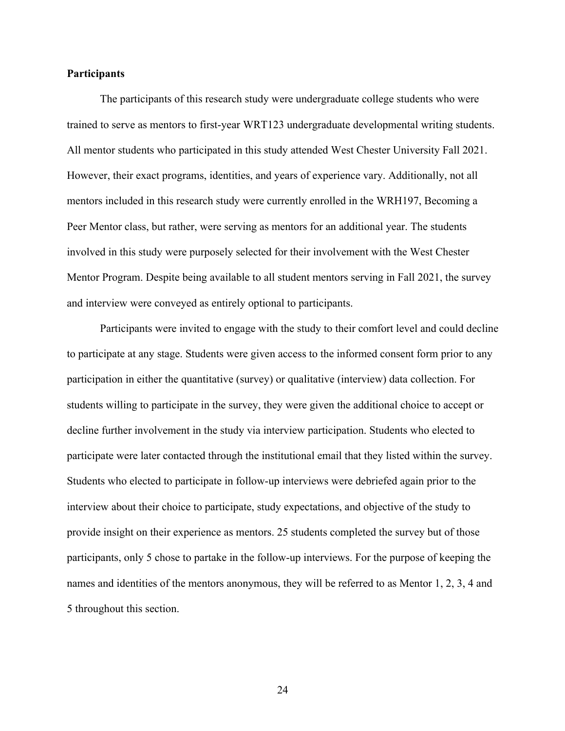#### **Participants**

The participants of this research study were undergraduate college students who were trained to serve as mentors to first-year WRT123 undergraduate developmental writing students. All mentor students who participated in this study attended West Chester University Fall 2021. However, their exact programs, identities, and years of experience vary. Additionally, not all mentors included in this research study were currently enrolled in the WRH197, Becoming a Peer Mentor class, but rather, were serving as mentors for an additional year. The students involved in this study were purposely selected for their involvement with the West Chester Mentor Program. Despite being available to all student mentors serving in Fall 2021, the survey and interview were conveyed as entirely optional to participants.

Participants were invited to engage with the study to their comfort level and could decline to participate at any stage. Students were given access to the informed consent form prior to any participation in either the quantitative (survey) or qualitative (interview) data collection. For students willing to participate in the survey, they were given the additional choice to accept or decline further involvement in the study via interview participation. Students who elected to participate were later contacted through the institutional email that they listed within the survey. Students who elected to participate in follow-up interviews were debriefed again prior to the interview about their choice to participate, study expectations, and objective of the study to provide insight on their experience as mentors. 25 students completed the survey but of those participants, only 5 chose to partake in the follow-up interviews. For the purpose of keeping the names and identities of the mentors anonymous, they will be referred to as Mentor 1, 2, 3, 4 and 5 throughout this section.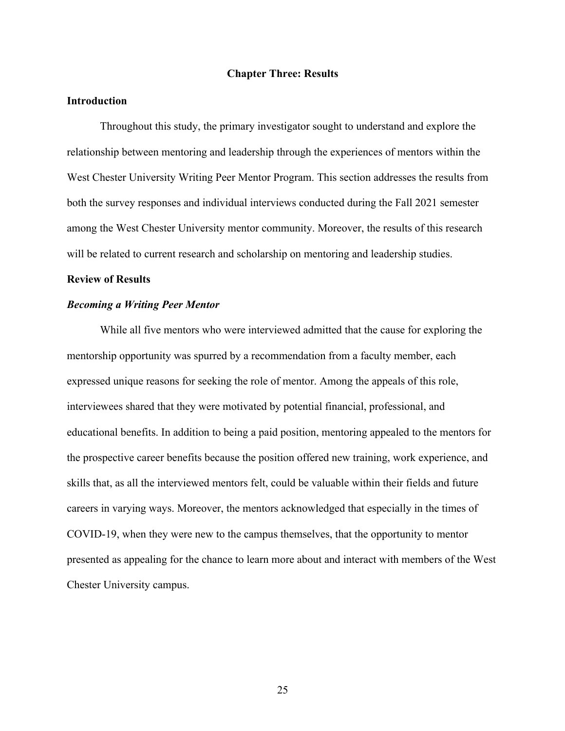#### **Chapter Three: Results**

## **Introduction**

Throughout this study, the primary investigator sought to understand and explore the relationship between mentoring and leadership through the experiences of mentors within the West Chester University Writing Peer Mentor Program. This section addresses the results from both the survey responses and individual interviews conducted during the Fall 2021 semester among the West Chester University mentor community. Moreover, the results of this research will be related to current research and scholarship on mentoring and leadership studies.

## **Review of Results**

### *Becoming a Writing Peer Mentor*

While all five mentors who were interviewed admitted that the cause for exploring the mentorship opportunity was spurred by a recommendation from a faculty member, each expressed unique reasons for seeking the role of mentor. Among the appeals of this role, interviewees shared that they were motivated by potential financial, professional, and educational benefits. In addition to being a paid position, mentoring appealed to the mentors for the prospective career benefits because the position offered new training, work experience, and skills that, as all the interviewed mentors felt, could be valuable within their fields and future careers in varying ways. Moreover, the mentors acknowledged that especially in the times of COVID-19, when they were new to the campus themselves, that the opportunity to mentor presented as appealing for the chance to learn more about and interact with members of the West Chester University campus.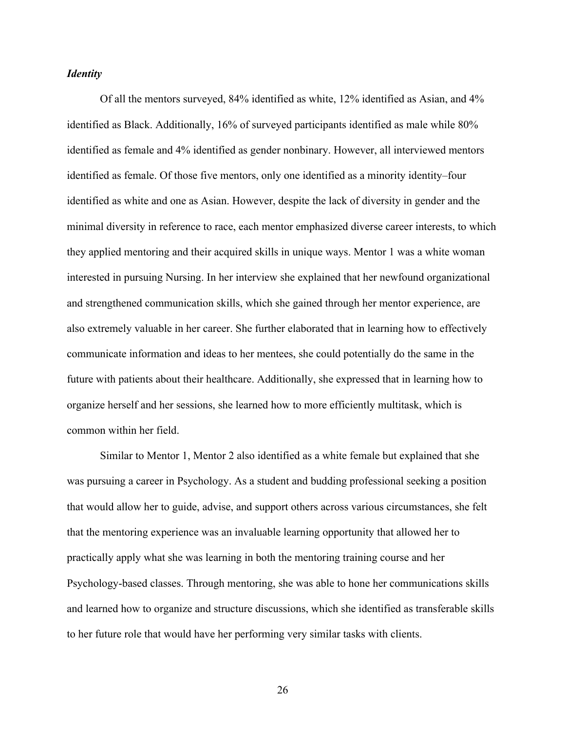#### *Identity*

Of all the mentors surveyed, 84% identified as white, 12% identified as Asian, and 4% identified as Black. Additionally, 16% of surveyed participants identified as male while 80% identified as female and 4% identified as gender nonbinary. However, all interviewed mentors identified as female. Of those five mentors, only one identified as a minority identity–four identified as white and one as Asian. However, despite the lack of diversity in gender and the minimal diversity in reference to race, each mentor emphasized diverse career interests, to which they applied mentoring and their acquired skills in unique ways. Mentor 1 was a white woman interested in pursuing Nursing. In her interview she explained that her newfound organizational and strengthened communication skills, which she gained through her mentor experience, are also extremely valuable in her career. She further elaborated that in learning how to effectively communicate information and ideas to her mentees, she could potentially do the same in the future with patients about their healthcare. Additionally, she expressed that in learning how to organize herself and her sessions, she learned how to more efficiently multitask, which is common within her field.

Similar to Mentor 1, Mentor 2 also identified as a white female but explained that she was pursuing a career in Psychology. As a student and budding professional seeking a position that would allow her to guide, advise, and support others across various circumstances, she felt that the mentoring experience was an invaluable learning opportunity that allowed her to practically apply what she was learning in both the mentoring training course and her Psychology-based classes. Through mentoring, she was able to hone her communications skills and learned how to organize and structure discussions, which she identified as transferable skills to her future role that would have her performing very similar tasks with clients.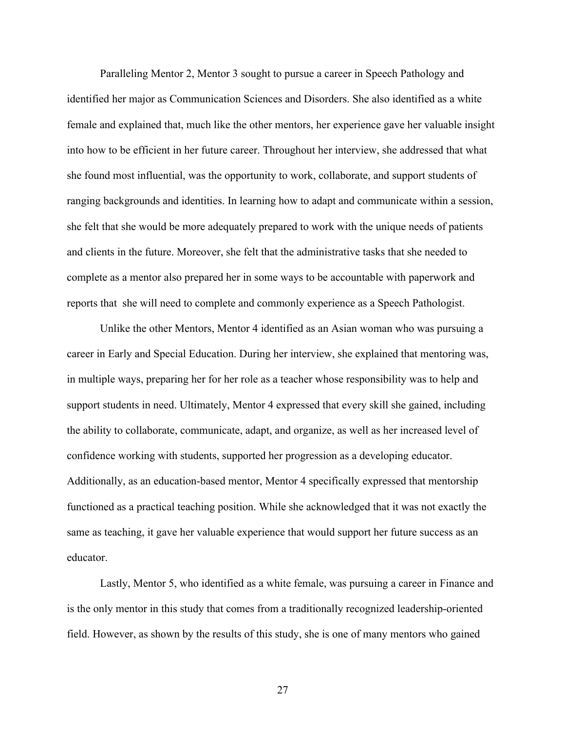Paralleling Mentor 2, Mentor 3 sought to pursue a career in Speech Pathology and identified her major as Communication Sciences and Disorders. She also identified as a white female and explained that, much like the other mentors, her experience gave her valuable insight into how to be efficient in her future career. Throughout her interview, she addressed that what she found most influential, was the opportunity to work, collaborate, and support students of ranging backgrounds and identities. In learning how to adapt and communicate within a session, she felt that she would be more adequately prepared to work with the unique needs of patients and clients in the future. Moreover, she felt that the administrative tasks that she needed to complete as a mentor also prepared her in some ways to be accountable with paperwork and reports that she will need to complete and commonly experience as a Speech Pathologist.

Unlike the other Mentors, Mentor 4 identified as an Asian woman who was pursuing a career in Early and Special Education. During her interview, she explained that mentoring was, in multiple ways, preparing her for her role as a teacher whose responsibility was to help and support students in need. Ultimately, Mentor 4 expressed that every skill she gained, including the ability to collaborate, communicate, adapt, and organize, as well as her increased level of confidence working with students, supported her progression as a developing educator. Additionally, as an education-based mentor, Mentor 4 specifically expressed that mentorship functioned as a practical teaching position. While she acknowledged that it was not exactly the same as teaching, it gave her valuable experience that would support her future success as an educator.

Lastly, Mentor 5, who identified as a white female, was pursuing a career in Finance and is the only mentor in this study that comes from a traditionally recognized leadership-oriented field. However, as shown by the results of this study, she is one of many mentors who gained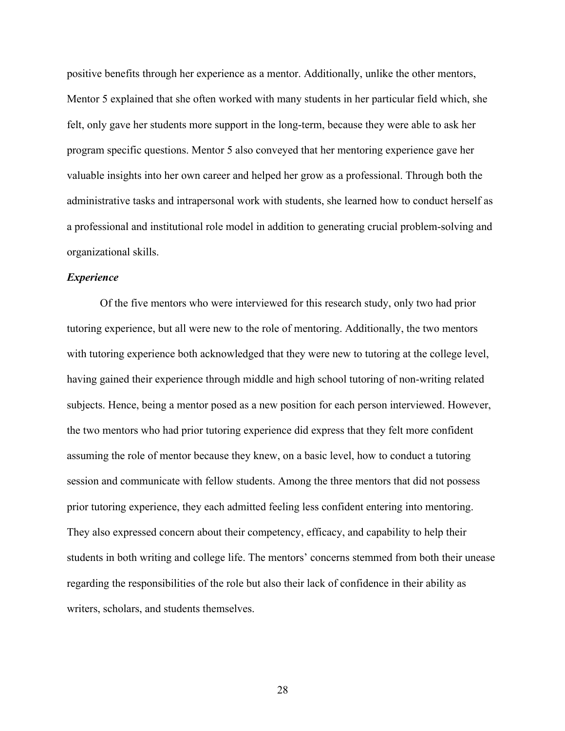positive benefits through her experience as a mentor. Additionally, unlike the other mentors, Mentor 5 explained that she often worked with many students in her particular field which, she felt, only gave her students more support in the long-term, because they were able to ask her program specific questions. Mentor 5 also conveyed that her mentoring experience gave her valuable insights into her own career and helped her grow as a professional. Through both the administrative tasks and intrapersonal work with students, she learned how to conduct herself as a professional and institutional role model in addition to generating crucial problem-solving and organizational skills.

#### *Experience*

Of the five mentors who were interviewed for this research study, only two had prior tutoring experience, but all were new to the role of mentoring. Additionally, the two mentors with tutoring experience both acknowledged that they were new to tutoring at the college level, having gained their experience through middle and high school tutoring of non-writing related subjects. Hence, being a mentor posed as a new position for each person interviewed. However, the two mentors who had prior tutoring experience did express that they felt more confident assuming the role of mentor because they knew, on a basic level, how to conduct a tutoring session and communicate with fellow students. Among the three mentors that did not possess prior tutoring experience, they each admitted feeling less confident entering into mentoring. They also expressed concern about their competency, efficacy, and capability to help their students in both writing and college life. The mentors' concerns stemmed from both their unease regarding the responsibilities of the role but also their lack of confidence in their ability as writers, scholars, and students themselves.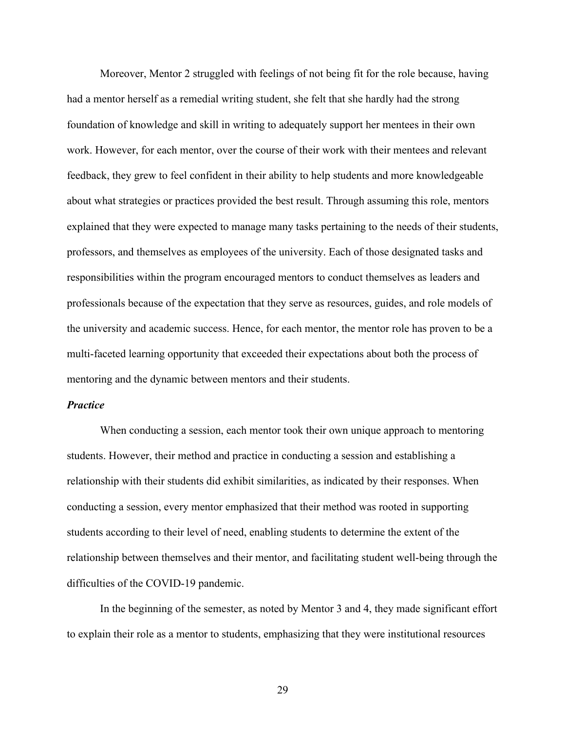Moreover, Mentor 2 struggled with feelings of not being fit for the role because, having had a mentor herself as a remedial writing student, she felt that she hardly had the strong foundation of knowledge and skill in writing to adequately support her mentees in their own work. However, for each mentor, over the course of their work with their mentees and relevant feedback, they grew to feel confident in their ability to help students and more knowledgeable about what strategies or practices provided the best result. Through assuming this role, mentors explained that they were expected to manage many tasks pertaining to the needs of their students, professors, and themselves as employees of the university. Each of those designated tasks and responsibilities within the program encouraged mentors to conduct themselves as leaders and professionals because of the expectation that they serve as resources, guides, and role models of the university and academic success. Hence, for each mentor, the mentor role has proven to be a multi-faceted learning opportunity that exceeded their expectations about both the process of mentoring and the dynamic between mentors and their students.

#### *Practice*

When conducting a session, each mentor took their own unique approach to mentoring students. However, their method and practice in conducting a session and establishing a relationship with their students did exhibit similarities, as indicated by their responses. When conducting a session, every mentor emphasized that their method was rooted in supporting students according to their level of need, enabling students to determine the extent of the relationship between themselves and their mentor, and facilitating student well-being through the difficulties of the COVID-19 pandemic.

In the beginning of the semester, as noted by Mentor 3 and 4, they made significant effort to explain their role as a mentor to students, emphasizing that they were institutional resources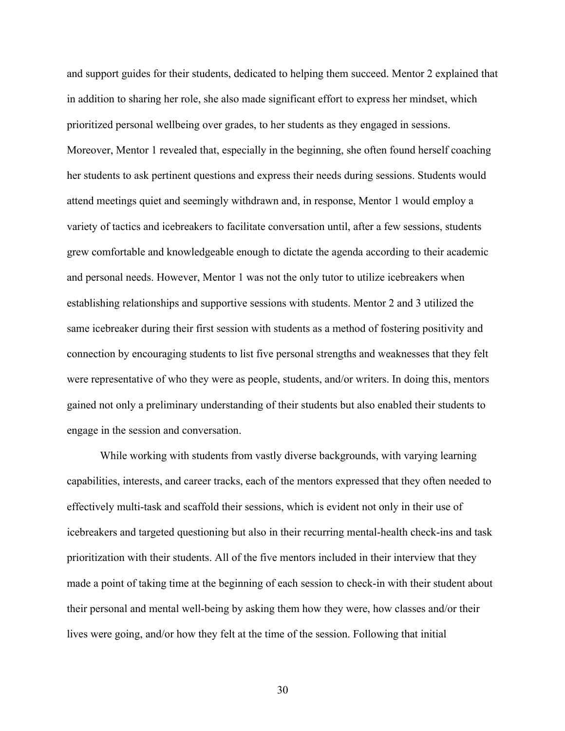and support guides for their students, dedicated to helping them succeed. Mentor 2 explained that in addition to sharing her role, she also made significant effort to express her mindset, which prioritized personal wellbeing over grades, to her students as they engaged in sessions. Moreover, Mentor 1 revealed that, especially in the beginning, she often found herself coaching her students to ask pertinent questions and express their needs during sessions. Students would attend meetings quiet and seemingly withdrawn and, in response, Mentor 1 would employ a variety of tactics and icebreakers to facilitate conversation until, after a few sessions, students grew comfortable and knowledgeable enough to dictate the agenda according to their academic and personal needs. However, Mentor 1 was not the only tutor to utilize icebreakers when establishing relationships and supportive sessions with students. Mentor 2 and 3 utilized the same icebreaker during their first session with students as a method of fostering positivity and connection by encouraging students to list five personal strengths and weaknesses that they felt were representative of who they were as people, students, and/or writers. In doing this, mentors gained not only a preliminary understanding of their students but also enabled their students to engage in the session and conversation.

While working with students from vastly diverse backgrounds, with varying learning capabilities, interests, and career tracks, each of the mentors expressed that they often needed to effectively multi-task and scaffold their sessions, which is evident not only in their use of icebreakers and targeted questioning but also in their recurring mental-health check-ins and task prioritization with their students. All of the five mentors included in their interview that they made a point of taking time at the beginning of each session to check-in with their student about their personal and mental well-being by asking them how they were, how classes and/or their lives were going, and/or how they felt at the time of the session. Following that initial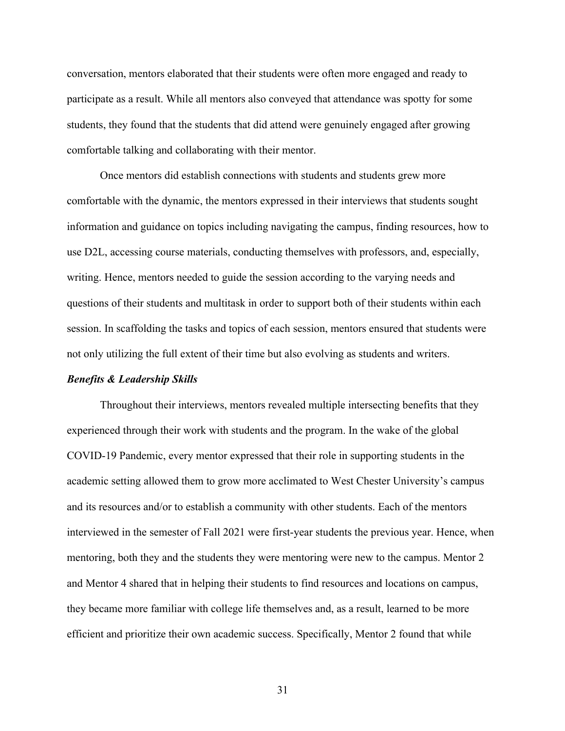conversation, mentors elaborated that their students were often more engaged and ready to participate as a result. While all mentors also conveyed that attendance was spotty for some students, they found that the students that did attend were genuinely engaged after growing comfortable talking and collaborating with their mentor.

Once mentors did establish connections with students and students grew more comfortable with the dynamic, the mentors expressed in their interviews that students sought information and guidance on topics including navigating the campus, finding resources, how to use D2L, accessing course materials, conducting themselves with professors, and, especially, writing. Hence, mentors needed to guide the session according to the varying needs and questions of their students and multitask in order to support both of their students within each session. In scaffolding the tasks and topics of each session, mentors ensured that students were not only utilizing the full extent of their time but also evolving as students and writers.

#### *Benefits & Leadership Skills*

Throughout their interviews, mentors revealed multiple intersecting benefits that they experienced through their work with students and the program. In the wake of the global COVID-19 Pandemic, every mentor expressed that their role in supporting students in the academic setting allowed them to grow more acclimated to West Chester University's campus and its resources and/or to establish a community with other students. Each of the mentors interviewed in the semester of Fall 2021 were first-year students the previous year. Hence, when mentoring, both they and the students they were mentoring were new to the campus. Mentor 2 and Mentor 4 shared that in helping their students to find resources and locations on campus, they became more familiar with college life themselves and, as a result, learned to be more efficient and prioritize their own academic success. Specifically, Mentor 2 found that while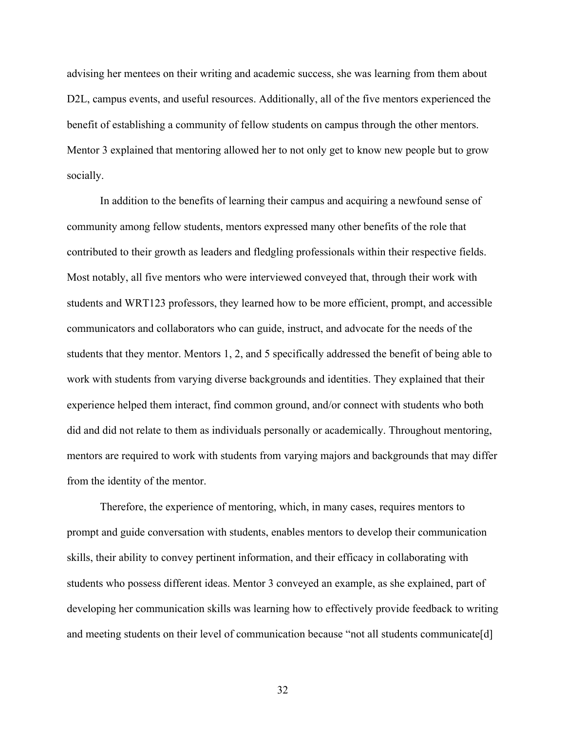advising her mentees on their writing and academic success, she was learning from them about D2L, campus events, and useful resources. Additionally, all of the five mentors experienced the benefit of establishing a community of fellow students on campus through the other mentors. Mentor 3 explained that mentoring allowed her to not only get to know new people but to grow socially.

In addition to the benefits of learning their campus and acquiring a newfound sense of community among fellow students, mentors expressed many other benefits of the role that contributed to their growth as leaders and fledgling professionals within their respective fields. Most notably, all five mentors who were interviewed conveyed that, through their work with students and WRT123 professors, they learned how to be more efficient, prompt, and accessible communicators and collaborators who can guide, instruct, and advocate for the needs of the students that they mentor. Mentors 1, 2, and 5 specifically addressed the benefit of being able to work with students from varying diverse backgrounds and identities. They explained that their experience helped them interact, find common ground, and/or connect with students who both did and did not relate to them as individuals personally or academically. Throughout mentoring, mentors are required to work with students from varying majors and backgrounds that may differ from the identity of the mentor.

Therefore, the experience of mentoring, which, in many cases, requires mentors to prompt and guide conversation with students, enables mentors to develop their communication skills, their ability to convey pertinent information, and their efficacy in collaborating with students who possess different ideas. Mentor 3 conveyed an example, as she explained, part of developing her communication skills was learning how to effectively provide feedback to writing and meeting students on their level of communication because "not all students communicate[d]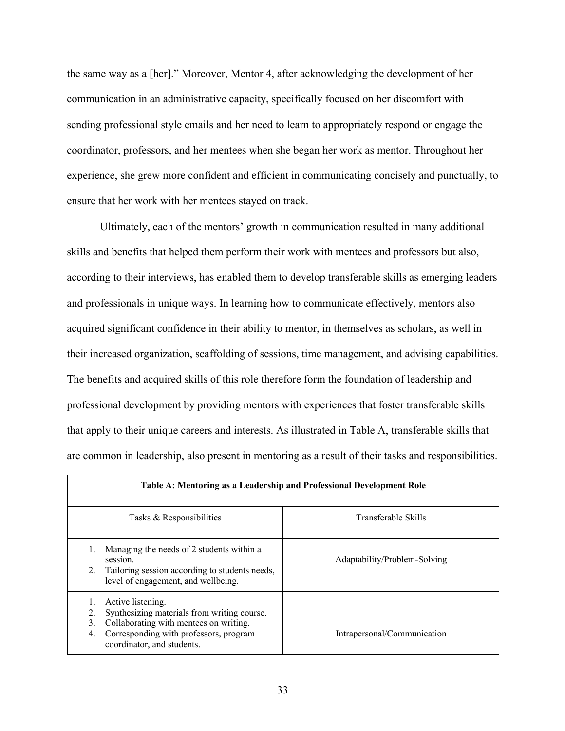the same way as a [her]." Moreover, Mentor 4, after acknowledging the development of her communication in an administrative capacity, specifically focused on her discomfort with sending professional style emails and her need to learn to appropriately respond or engage the coordinator, professors, and her mentees when she began her work as mentor. Throughout her experience, she grew more confident and efficient in communicating concisely and punctually, to ensure that her work with her mentees stayed on track.

Ultimately, each of the mentors' growth in communication resulted in many additional skills and benefits that helped them perform their work with mentees and professors but also, according to their interviews, has enabled them to develop transferable skills as emerging leaders and professionals in unique ways. In learning how to communicate effectively, mentors also acquired significant confidence in their ability to mentor, in themselves as scholars, as well in their increased organization, scaffolding of sessions, time management, and advising capabilities. The benefits and acquired skills of this role therefore form the foundation of leadership and professional development by providing mentors with experiences that foster transferable skills that apply to their unique careers and interests. As illustrated in Table A, transferable skills that are common in leadership, also present in mentoring as a result of their tasks and responsibilities.

| Table A: Mentoring as a Leadership and Professional Development Role                                                                                                                           |                              |  |  |  |
|------------------------------------------------------------------------------------------------------------------------------------------------------------------------------------------------|------------------------------|--|--|--|
| Tasks & Responsibilities                                                                                                                                                                       | Transferable Skills          |  |  |  |
| Managing the needs of 2 students within a<br>session.<br>Tailoring session according to students needs,<br>2.<br>level of engagement, and wellbeing.                                           | Adaptability/Problem-Solving |  |  |  |
| Active listening.<br>Synthesizing materials from writing course.<br>Collaborating with mentees on writing.<br>3.<br>Corresponding with professors, program<br>4.<br>coordinator, and students. | Intrapersonal/Communication  |  |  |  |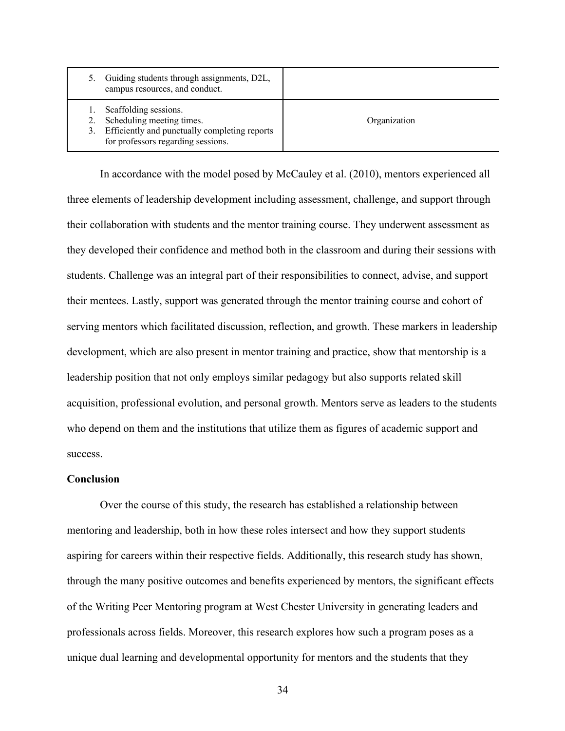| Guiding students through assignments, D2L,<br>campus resources, and conduct.                                                                    |              |
|-------------------------------------------------------------------------------------------------------------------------------------------------|--------------|
| Scaffolding sessions.<br>Scheduling meeting times.<br>Efficiently and punctually completing reports<br>3.<br>for professors regarding sessions. | Organization |

In accordance with the model posed by McCauley et al. (2010), mentors experienced all three elements of leadership development including assessment, challenge, and support through their collaboration with students and the mentor training course. They underwent assessment as they developed their confidence and method both in the classroom and during their sessions with students. Challenge was an integral part of their responsibilities to connect, advise, and support their mentees. Lastly, support was generated through the mentor training course and cohort of serving mentors which facilitated discussion, reflection, and growth. These markers in leadership development, which are also present in mentor training and practice, show that mentorship is a leadership position that not only employs similar pedagogy but also supports related skill acquisition, professional evolution, and personal growth. Mentors serve as leaders to the students who depend on them and the institutions that utilize them as figures of academic support and success.

## **Conclusion**

Over the course of this study, the research has established a relationship between mentoring and leadership, both in how these roles intersect and how they support students aspiring for careers within their respective fields. Additionally, this research study has shown, through the many positive outcomes and benefits experienced by mentors, the significant effects of the Writing Peer Mentoring program at West Chester University in generating leaders and professionals across fields. Moreover, this research explores how such a program poses as a unique dual learning and developmental opportunity for mentors and the students that they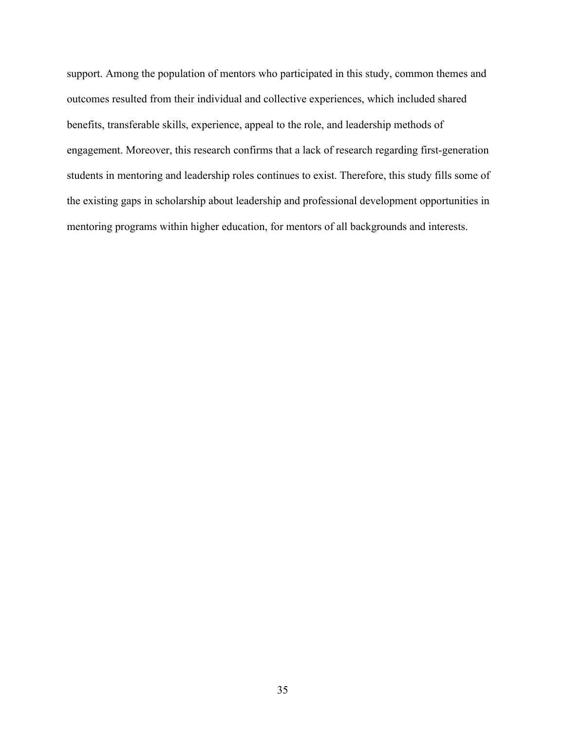support. Among the population of mentors who participated in this study, common themes and outcomes resulted from their individual and collective experiences, which included shared benefits, transferable skills, experience, appeal to the role, and leadership methods of engagement. Moreover, this research confirms that a lack of research regarding first-generation students in mentoring and leadership roles continues to exist. Therefore, this study fills some of the existing gaps in scholarship about leadership and professional development opportunities in mentoring programs within higher education, for mentors of all backgrounds and interests.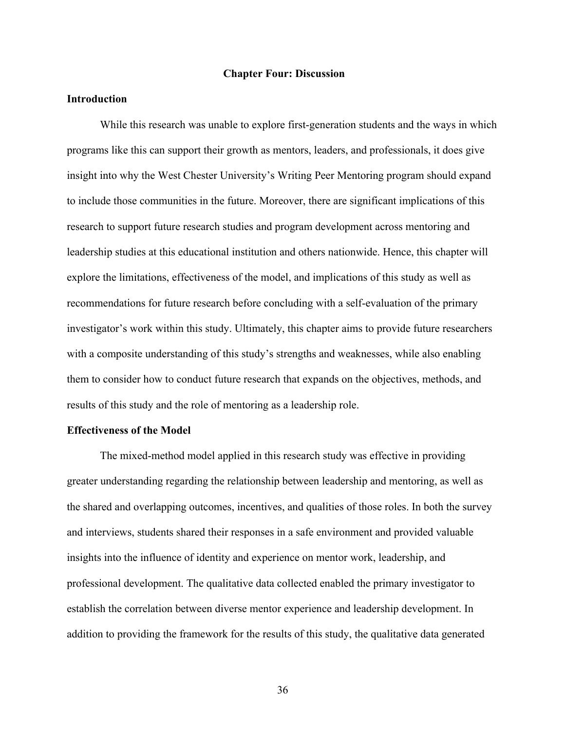#### **Chapter Four: Discussion**

## **Introduction**

While this research was unable to explore first-generation students and the ways in which programs like this can support their growth as mentors, leaders, and professionals, it does give insight into why the West Chester University's Writing Peer Mentoring program should expand to include those communities in the future. Moreover, there are significant implications of this research to support future research studies and program development across mentoring and leadership studies at this educational institution and others nationwide. Hence, this chapter will explore the limitations, effectiveness of the model, and implications of this study as well as recommendations for future research before concluding with a self-evaluation of the primary investigator's work within this study. Ultimately, this chapter aims to provide future researchers with a composite understanding of this study's strengths and weaknesses, while also enabling them to consider how to conduct future research that expands on the objectives, methods, and results of this study and the role of mentoring as a leadership role.

#### **Effectiveness of the Model**

The mixed-method model applied in this research study was effective in providing greater understanding regarding the relationship between leadership and mentoring, as well as the shared and overlapping outcomes, incentives, and qualities of those roles. In both the survey and interviews, students shared their responses in a safe environment and provided valuable insights into the influence of identity and experience on mentor work, leadership, and professional development. The qualitative data collected enabled the primary investigator to establish the correlation between diverse mentor experience and leadership development. In addition to providing the framework for the results of this study, the qualitative data generated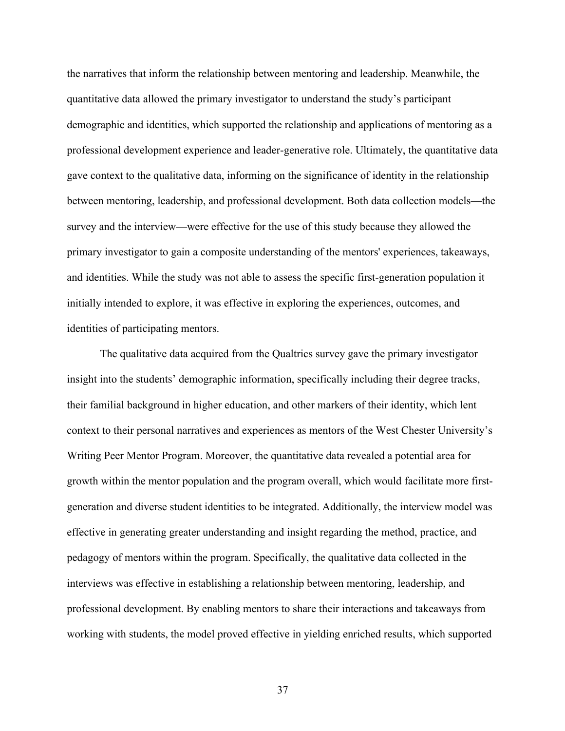the narratives that inform the relationship between mentoring and leadership. Meanwhile, the quantitative data allowed the primary investigator to understand the study's participant demographic and identities, which supported the relationship and applications of mentoring as a professional development experience and leader-generative role. Ultimately, the quantitative data gave context to the qualitative data, informing on the significance of identity in the relationship between mentoring, leadership, and professional development. Both data collection models—the survey and the interview—were effective for the use of this study because they allowed the primary investigator to gain a composite understanding of the mentors' experiences, takeaways, and identities. While the study was not able to assess the specific first-generation population it initially intended to explore, it was effective in exploring the experiences, outcomes, and identities of participating mentors.

The qualitative data acquired from the Qualtrics survey gave the primary investigator insight into the students' demographic information, specifically including their degree tracks, their familial background in higher education, and other markers of their identity, which lent context to their personal narratives and experiences as mentors of the West Chester University's Writing Peer Mentor Program. Moreover, the quantitative data revealed a potential area for growth within the mentor population and the program overall, which would facilitate more firstgeneration and diverse student identities to be integrated. Additionally, the interview model was effective in generating greater understanding and insight regarding the method, practice, and pedagogy of mentors within the program. Specifically, the qualitative data collected in the interviews was effective in establishing a relationship between mentoring, leadership, and professional development. By enabling mentors to share their interactions and takeaways from working with students, the model proved effective in yielding enriched results, which supported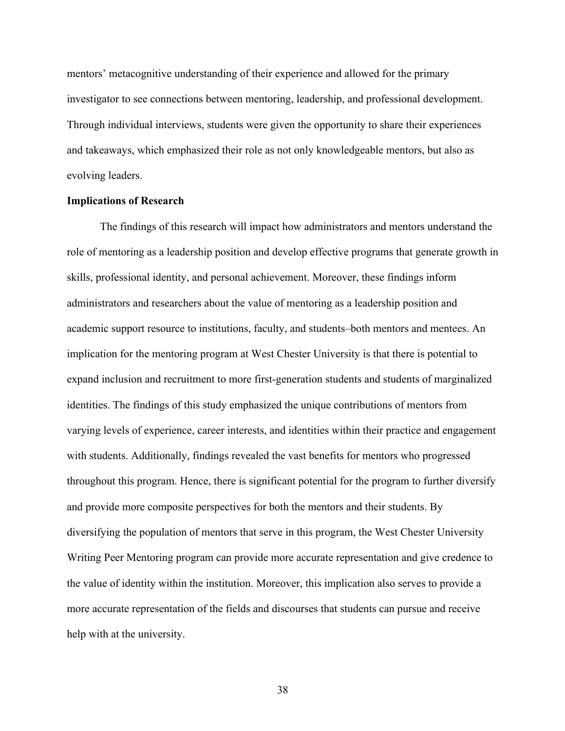mentors' metacognitive understanding of their experience and allowed for the primary investigator to see connections between mentoring, leadership, and professional development. Through individual interviews, students were given the opportunity to share their experiences and takeaways, which emphasized their role as not only knowledgeable mentors, but also as evolving leaders.

#### **Implications of Research**

The findings of this research will impact how administrators and mentors understand the role of mentoring as a leadership position and develop effective programs that generate growth in skills, professional identity, and personal achievement. Moreover, these findings inform administrators and researchers about the value of mentoring as a leadership position and academic support resource to institutions, faculty, and students–both mentors and mentees. An implication for the mentoring program at West Chester University is that there is potential to expand inclusion and recruitment to more first-generation students and students of marginalized identities. The findings of this study emphasized the unique contributions of mentors from varying levels of experience, career interests, and identities within their practice and engagement with students. Additionally, findings revealed the vast benefits for mentors who progressed throughout this program. Hence, there is significant potential for the program to further diversify and provide more composite perspectives for both the mentors and their students. By diversifying the population of mentors that serve in this program, the West Chester University Writing Peer Mentoring program can provide more accurate representation and give credence to the value of identity within the institution. Moreover, this implication also serves to provide a more accurate representation of the fields and discourses that students can pursue and receive help with at the university.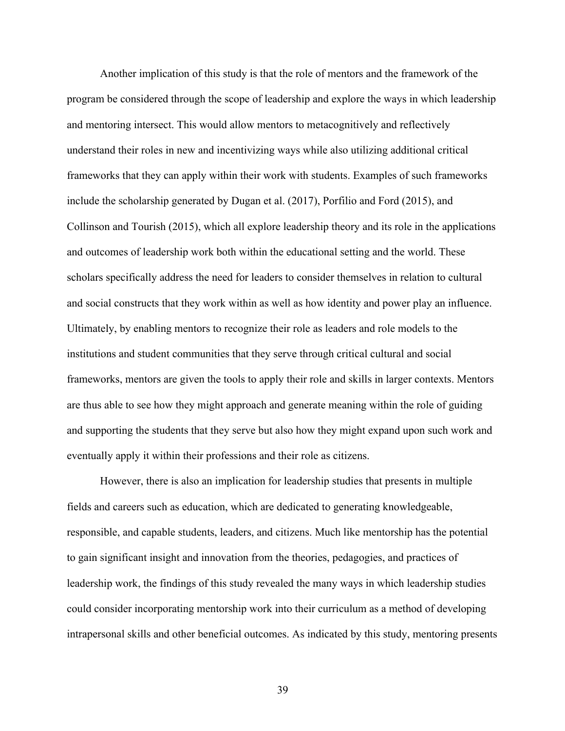Another implication of this study is that the role of mentors and the framework of the program be considered through the scope of leadership and explore the ways in which leadership and mentoring intersect. This would allow mentors to metacognitively and reflectively understand their roles in new and incentivizing ways while also utilizing additional critical frameworks that they can apply within their work with students. Examples of such frameworks include the scholarship generated by Dugan et al. (2017), Porfilio and Ford (2015), and Collinson and Tourish (2015), which all explore leadership theory and its role in the applications and outcomes of leadership work both within the educational setting and the world. These scholars specifically address the need for leaders to consider themselves in relation to cultural and social constructs that they work within as well as how identity and power play an influence. Ultimately, by enabling mentors to recognize their role as leaders and role models to the institutions and student communities that they serve through critical cultural and social frameworks, mentors are given the tools to apply their role and skills in larger contexts. Mentors are thus able to see how they might approach and generate meaning within the role of guiding and supporting the students that they serve but also how they might expand upon such work and eventually apply it within their professions and their role as citizens.

However, there is also an implication for leadership studies that presents in multiple fields and careers such as education, which are dedicated to generating knowledgeable, responsible, and capable students, leaders, and citizens. Much like mentorship has the potential to gain significant insight and innovation from the theories, pedagogies, and practices of leadership work, the findings of this study revealed the many ways in which leadership studies could consider incorporating mentorship work into their curriculum as a method of developing intrapersonal skills and other beneficial outcomes. As indicated by this study, mentoring presents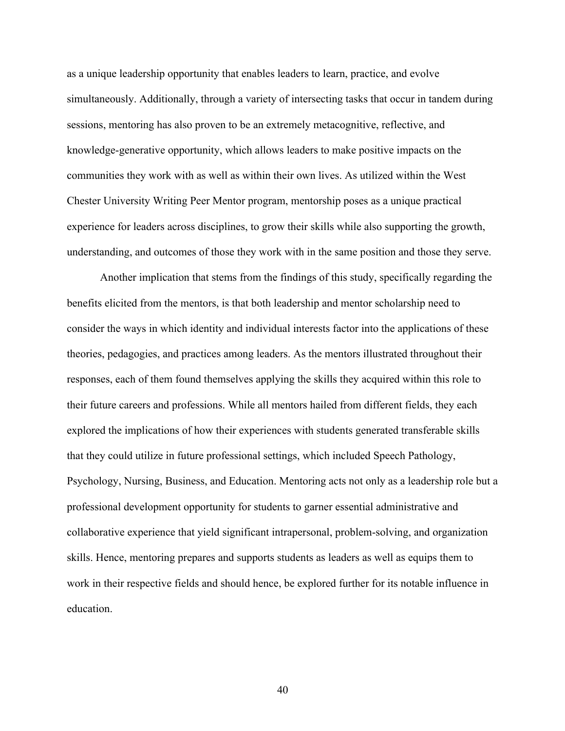as a unique leadership opportunity that enables leaders to learn, practice, and evolve simultaneously. Additionally, through a variety of intersecting tasks that occur in tandem during sessions, mentoring has also proven to be an extremely metacognitive, reflective, and knowledge-generative opportunity, which allows leaders to make positive impacts on the communities they work with as well as within their own lives. As utilized within the West Chester University Writing Peer Mentor program, mentorship poses as a unique practical experience for leaders across disciplines, to grow their skills while also supporting the growth, understanding, and outcomes of those they work with in the same position and those they serve.

Another implication that stems from the findings of this study, specifically regarding the benefits elicited from the mentors, is that both leadership and mentor scholarship need to consider the ways in which identity and individual interests factor into the applications of these theories, pedagogies, and practices among leaders. As the mentors illustrated throughout their responses, each of them found themselves applying the skills they acquired within this role to their future careers and professions. While all mentors hailed from different fields, they each explored the implications of how their experiences with students generated transferable skills that they could utilize in future professional settings, which included Speech Pathology, Psychology, Nursing, Business, and Education. Mentoring acts not only as a leadership role but a professional development opportunity for students to garner essential administrative and collaborative experience that yield significant intrapersonal, problem-solving, and organization skills. Hence, mentoring prepares and supports students as leaders as well as equips them to work in their respective fields and should hence, be explored further for its notable influence in education.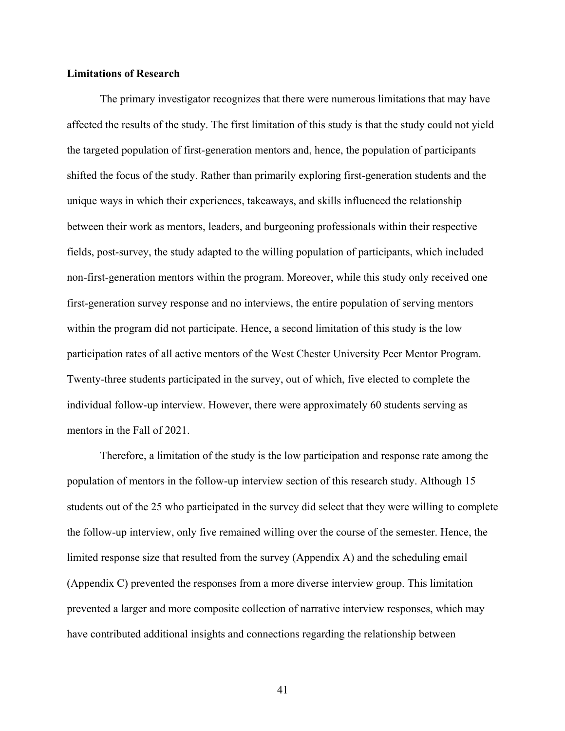#### **Limitations of Research**

The primary investigator recognizes that there were numerous limitations that may have affected the results of the study. The first limitation of this study is that the study could not yield the targeted population of first-generation mentors and, hence, the population of participants shifted the focus of the study. Rather than primarily exploring first-generation students and the unique ways in which their experiences, takeaways, and skills influenced the relationship between their work as mentors, leaders, and burgeoning professionals within their respective fields, post-survey, the study adapted to the willing population of participants, which included non-first-generation mentors within the program. Moreover, while this study only received one first-generation survey response and no interviews, the entire population of serving mentors within the program did not participate. Hence, a second limitation of this study is the low participation rates of all active mentors of the West Chester University Peer Mentor Program. Twenty-three students participated in the survey, out of which, five elected to complete the individual follow-up interview. However, there were approximately 60 students serving as mentors in the Fall of 2021.

Therefore, a limitation of the study is the low participation and response rate among the population of mentors in the follow-up interview section of this research study. Although 15 students out of the 25 who participated in the survey did select that they were willing to complete the follow-up interview, only five remained willing over the course of the semester. Hence, the limited response size that resulted from the survey (Appendix A) and the scheduling email (Appendix C) prevented the responses from a more diverse interview group. This limitation prevented a larger and more composite collection of narrative interview responses, which may have contributed additional insights and connections regarding the relationship between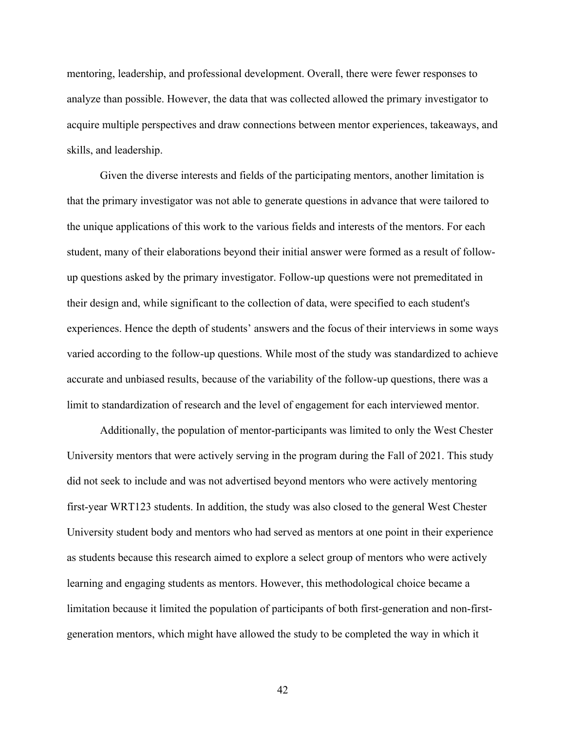mentoring, leadership, and professional development. Overall, there were fewer responses to analyze than possible. However, the data that was collected allowed the primary investigator to acquire multiple perspectives and draw connections between mentor experiences, takeaways, and skills, and leadership.

Given the diverse interests and fields of the participating mentors, another limitation is that the primary investigator was not able to generate questions in advance that were tailored to the unique applications of this work to the various fields and interests of the mentors. For each student, many of their elaborations beyond their initial answer were formed as a result of followup questions asked by the primary investigator. Follow-up questions were not premeditated in their design and, while significant to the collection of data, were specified to each student's experiences. Hence the depth of students' answers and the focus of their interviews in some ways varied according to the follow-up questions. While most of the study was standardized to achieve accurate and unbiased results, because of the variability of the follow-up questions, there was a limit to standardization of research and the level of engagement for each interviewed mentor.

Additionally, the population of mentor-participants was limited to only the West Chester University mentors that were actively serving in the program during the Fall of 2021. This study did not seek to include and was not advertised beyond mentors who were actively mentoring first-year WRT123 students. In addition, the study was also closed to the general West Chester University student body and mentors who had served as mentors at one point in their experience as students because this research aimed to explore a select group of mentors who were actively learning and engaging students as mentors. However, this methodological choice became a limitation because it limited the population of participants of both first-generation and non-firstgeneration mentors, which might have allowed the study to be completed the way in which it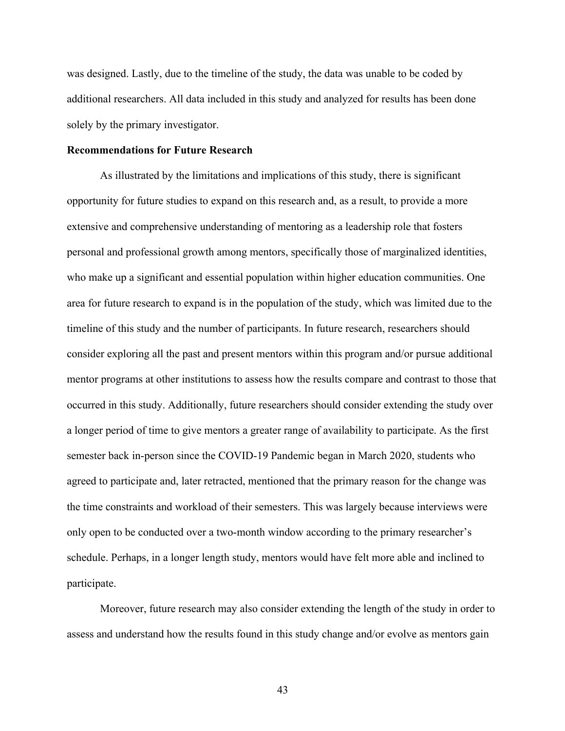was designed. Lastly, due to the timeline of the study, the data was unable to be coded by additional researchers. All data included in this study and analyzed for results has been done solely by the primary investigator.

#### **Recommendations for Future Research**

As illustrated by the limitations and implications of this study, there is significant opportunity for future studies to expand on this research and, as a result, to provide a more extensive and comprehensive understanding of mentoring as a leadership role that fosters personal and professional growth among mentors, specifically those of marginalized identities, who make up a significant and essential population within higher education communities. One area for future research to expand is in the population of the study, which was limited due to the timeline of this study and the number of participants. In future research, researchers should consider exploring all the past and present mentors within this program and/or pursue additional mentor programs at other institutions to assess how the results compare and contrast to those that occurred in this study. Additionally, future researchers should consider extending the study over a longer period of time to give mentors a greater range of availability to participate. As the first semester back in-person since the COVID-19 Pandemic began in March 2020, students who agreed to participate and, later retracted, mentioned that the primary reason for the change was the time constraints and workload of their semesters. This was largely because interviews were only open to be conducted over a two-month window according to the primary researcher's schedule. Perhaps, in a longer length study, mentors would have felt more able and inclined to participate.

Moreover, future research may also consider extending the length of the study in order to assess and understand how the results found in this study change and/or evolve as mentors gain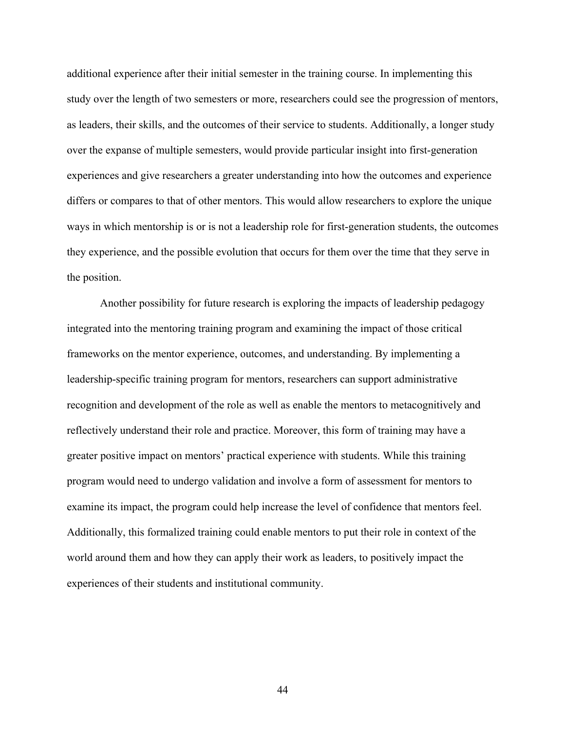additional experience after their initial semester in the training course. In implementing this study over the length of two semesters or more, researchers could see the progression of mentors, as leaders, their skills, and the outcomes of their service to students. Additionally, a longer study over the expanse of multiple semesters, would provide particular insight into first-generation experiences and give researchers a greater understanding into how the outcomes and experience differs or compares to that of other mentors. This would allow researchers to explore the unique ways in which mentorship is or is not a leadership role for first-generation students, the outcomes they experience, and the possible evolution that occurs for them over the time that they serve in the position.

Another possibility for future research is exploring the impacts of leadership pedagogy integrated into the mentoring training program and examining the impact of those critical frameworks on the mentor experience, outcomes, and understanding. By implementing a leadership-specific training program for mentors, researchers can support administrative recognition and development of the role as well as enable the mentors to metacognitively and reflectively understand their role and practice. Moreover, this form of training may have a greater positive impact on mentors' practical experience with students. While this training program would need to undergo validation and involve a form of assessment for mentors to examine its impact, the program could help increase the level of confidence that mentors feel. Additionally, this formalized training could enable mentors to put their role in context of the world around them and how they can apply their work as leaders, to positively impact the experiences of their students and institutional community.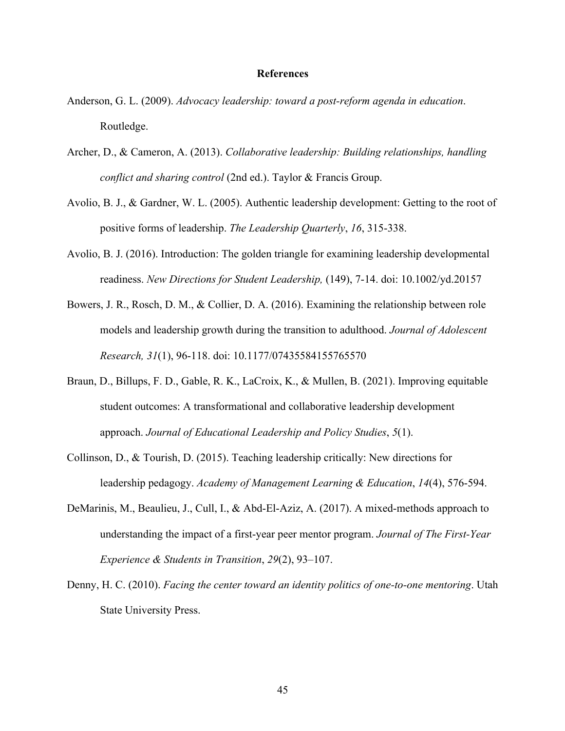#### **References**

- Anderson, G. L. (2009). *Advocacy leadership: toward a post-reform agenda in education*. Routledge.
- Archer, D., & Cameron, A. (2013). *Collaborative leadership: Building relationships, handling conflict and sharing control* (2nd ed.). Taylor & Francis Group.
- Avolio, B. J., & Gardner, W. L. (2005). Authentic leadership development: Getting to the root of positive forms of leadership. *The Leadership Quarterly*, *16*, 315-338.
- Avolio, B. J. (2016). Introduction: The golden triangle for examining leadership developmental readiness. *New Directions for Student Leadership,* (149), 7-14. doi: 10.1002/yd.20157
- Bowers, J. R., Rosch, D. M., & Collier, D. A. (2016). Examining the relationship between role models and leadership growth during the transition to adulthood. *Journal of Adolescent Research, 31*(1), 96-118. doi: 10.1177/07435584155765570
- Braun, D., Billups, F. D., Gable, R. K., LaCroix, K., & Mullen, B. (2021). Improving equitable student outcomes: A transformational and collaborative leadership development approach. *Journal of Educational Leadership and Policy Studies*, *5*(1).
- Collinson, D., & Tourish, D. (2015). Teaching leadership critically: New directions for leadership pedagogy. *Academy of Management Learning & Education*, *14*(4), 576-594.
- DeMarinis, M., Beaulieu, J., Cull, I., & Abd-El-Aziz, A. (2017). A mixed-methods approach to understanding the impact of a first-year peer mentor program. *Journal of The First-Year Experience & Students in Transition*, *29*(2), 93–107.
- Denny, H. C. (2010). *Facing the center toward an identity politics of one-to-one mentoring*. Utah State University Press.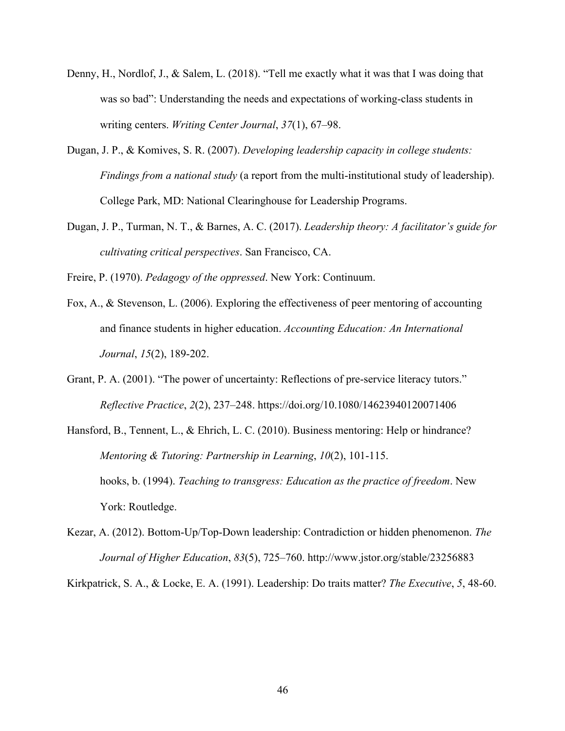- Denny, H., Nordlof, J., & Salem, L. (2018). "Tell me exactly what it was that I was doing that was so bad": Understanding the needs and expectations of working-class students in writing centers. *Writing Center Journal*, *37*(1), 67–98.
- Dugan, J. P., & Komives, S. R. (2007). *Developing leadership capacity in college students: Findings from a national study* (a report from the multi-institutional study of leadership). College Park, MD: National Clearinghouse for Leadership Programs.
- Dugan, J. P., Turman, N. T., & Barnes, A. C. (2017). *Leadership theory: A facilitator's guide for cultivating critical perspectives*. San Francisco, CA.

Freire, P. (1970). *Pedagogy of the oppressed*. New York: Continuum.

- Fox, A., & Stevenson, L. (2006). Exploring the effectiveness of peer mentoring of accounting and finance students in higher education. *Accounting Education: An International Journal*, *15*(2), 189-202.
- Grant, P. A. (2001). "The power of uncertainty: Reflections of pre-service literacy tutors." *Reflective Practice*, *2*(2), 237–248. https://doi.org/10.1080/14623940120071406
- Hansford, B., Tennent, L., & Ehrich, L. C. (2010). Business mentoring: Help or hindrance? *Mentoring & Tutoring: Partnership in Learning*, *10*(2), 101-115. hooks, b. (1994). *Teaching to transgress: Education as the practice of freedom*. New York: Routledge.
- Kezar, A. (2012). Bottom-Up/Top-Down leadership: Contradiction or hidden phenomenon. *The Journal of Higher Education*, *83*(5), 725–760. http://www.jstor.org/stable/23256883

Kirkpatrick, S. A., & Locke, E. A. (1991). Leadership: Do traits matter? *The Executive*, *5*, 48-60.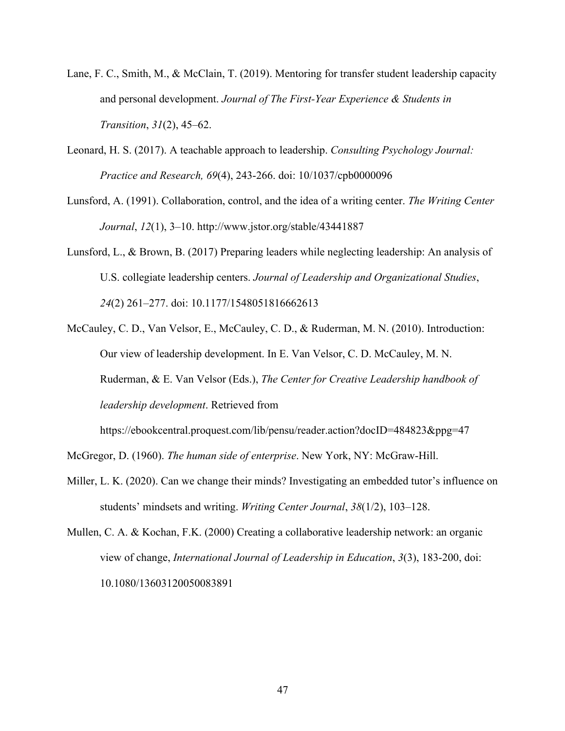- Lane, F. C., Smith, M., & McClain, T. (2019). Mentoring for transfer student leadership capacity and personal development. *Journal of The First-Year Experience & Students in Transition*, *31*(2), 45–62.
- Leonard, H. S. (2017). A teachable approach to leadership. *Consulting Psychology Journal: Practice and Research, 69*(4), 243-266. doi: 10/1037/cpb0000096
- Lunsford, A. (1991). Collaboration, control, and the idea of a writing center. *The Writing Center Journal*, *12*(1), 3–10. http://www.jstor.org/stable/43441887
- Lunsford, L., & Brown, B. (2017) Preparing leaders while neglecting leadership: An analysis of U.S. collegiate leadership centers. *Journal of Leadership and Organizational Studies*, *24*(2) 261–277. doi: 10.1177/1548051816662613
- McCauley, C. D., Van Velsor, E., McCauley, C. D., & Ruderman, M. N. (2010). Introduction: Our view of leadership development. In E. Van Velsor, C. D. McCauley, M. N. Ruderman, & E. Van Velsor (Eds.), *The Center for Creative Leadership handbook of leadership development*. Retrieved from

https://ebookcentral.proquest.com/lib/pensu/reader.action?docID=484823&ppg=47

McGregor, D. (1960). *The human side of enterprise*. New York, NY: McGraw-Hill.

- Miller, L. K. (2020). Can we change their minds? Investigating an embedded tutor's influence on students' mindsets and writing. *Writing Center Journal*, *38*(1/2), 103–128.
- Mullen, C. A. & Kochan, F.K. (2000) Creating a collaborative leadership network: an organic view of change, *International Journal of Leadership in Education*, *3*(3), 183-200, doi: 10.1080/13603120050083891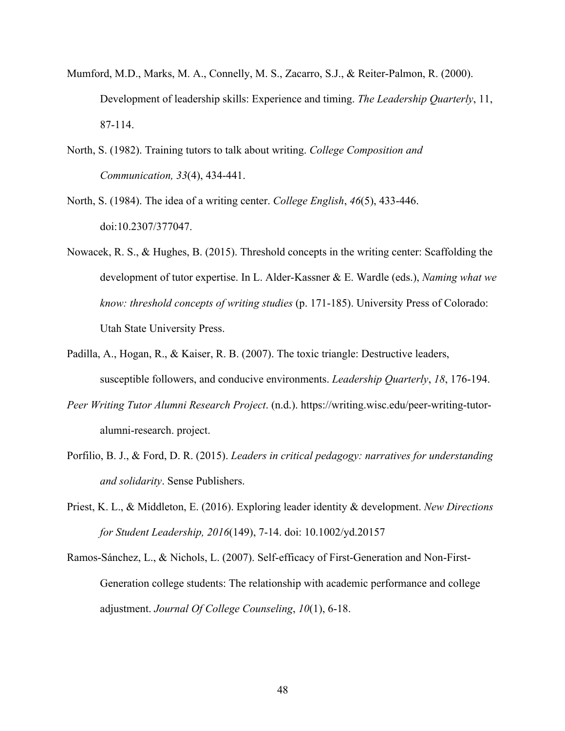- Mumford, M.D., Marks, M. A., Connelly, M. S., Zacarro, S.J., & Reiter-Palmon, R. (2000). Development of leadership skills: Experience and timing. *The Leadership Quarterly*, 11, 87-114.
- North, S. (1982). Training tutors to talk about writing. *College Composition and Communication, 33*(4), 434-441.
- North, S. (1984). The idea of a writing center. *College English*, *46*(5), 433-446. doi:10.2307/377047.
- Nowacek, R. S., & Hughes, B. (2015). Threshold concepts in the writing center: Scaffolding the development of tutor expertise. In L. Alder-Kassner & E. Wardle (eds.), *Naming what we know: threshold concepts of writing studies* (p. 171-185). University Press of Colorado: Utah State University Press.
- Padilla, A., Hogan, R., & Kaiser, R. B. (2007). The toxic triangle: Destructive leaders, susceptible followers, and conducive environments. *Leadership Quarterly*, *18*, 176-194.
- *Peer Writing Tutor Alumni Research Project*. (n.d.). https://writing.wisc.edu/peer-writing-tutoralumni-research. project.
- Porfilio, B. J., & Ford, D. R. (2015). *Leaders in critical pedagogy: narratives for understanding and solidarity*. Sense Publishers.
- Priest, K. L., & Middleton, E. (2016). Exploring leader identity & development. *New Directions for Student Leadership, 2016*(149), 7-14. doi: 10.1002/yd.20157
- Ramos-Sánchez, L., & Nichols, L. (2007). Self-efficacy of First-Generation and Non-First-Generation college students: The relationship with academic performance and college adjustment. *Journal Of College Counseling*, *10*(1), 6-18.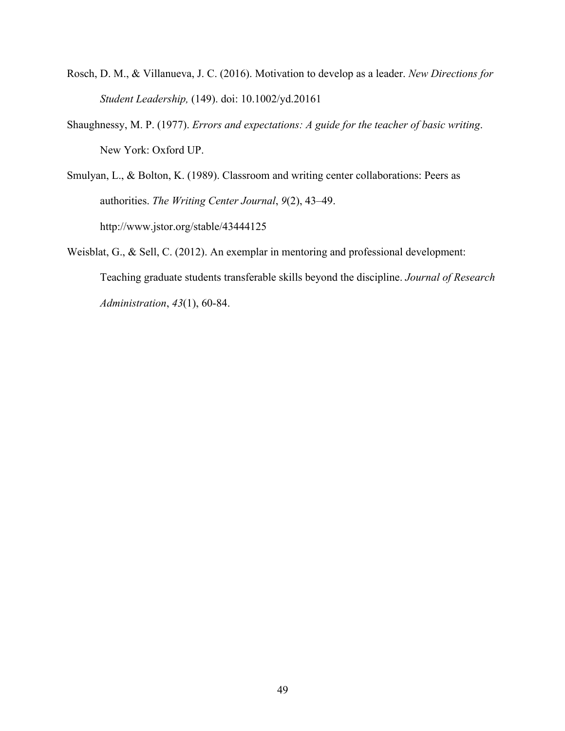- Rosch, D. M., & Villanueva, J. C. (2016). Motivation to develop as a leader. *New Directions for Student Leadership,* (149). doi: 10.1002/yd.20161
- Shaughnessy, M. P. (1977). *Errors and expectations: A guide for the teacher of basic writing*. New York: Oxford UP.

Smulyan, L., & Bolton, K. (1989). Classroom and writing center collaborations: Peers as authorities. *The Writing Center Journal*, *9*(2), 43–49. http://www.jstor.org/stable/43444125

Weisblat, G., & Sell, C. (2012). An exemplar in mentoring and professional development: Teaching graduate students transferable skills beyond the discipline. *Journal of Research Administration*, *43*(1), 60-84.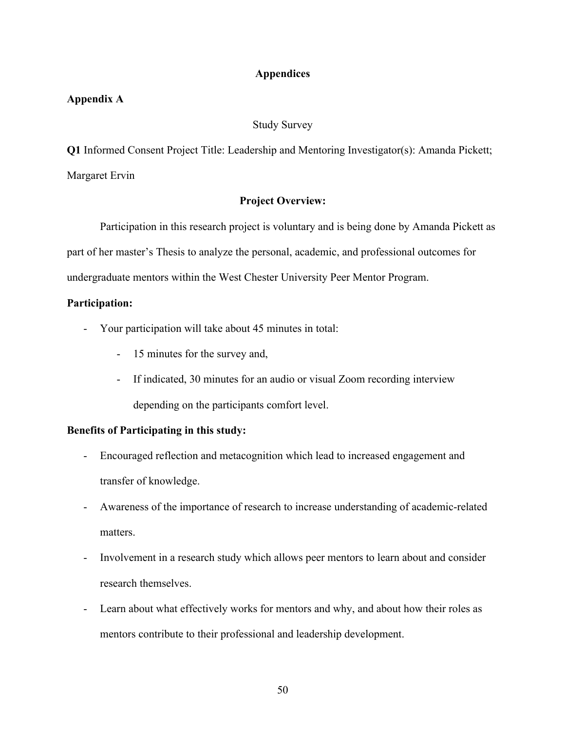## **Appendices**

## **Appendix A**

#### Study Survey

**Q1** Informed Consent Project Title: Leadership and Mentoring Investigator(s): Amanda Pickett; Margaret Ervin

### **Project Overview:**

Participation in this research project is voluntary and is being done by Amanda Pickett as part of her master's Thesis to analyze the personal, academic, and professional outcomes for undergraduate mentors within the West Chester University Peer Mentor Program.

#### **Participation:**

- Your participation will take about 45 minutes in total:
	- 15 minutes for the survey and,
	- If indicated, 30 minutes for an audio or visual Zoom recording interview depending on the participants comfort level.

## **Benefits of Participating in this study:**

- Encouraged reflection and metacognition which lead to increased engagement and transfer of knowledge.
- Awareness of the importance of research to increase understanding of academic-related matters.
- Involvement in a research study which allows peer mentors to learn about and consider research themselves.
- Learn about what effectively works for mentors and why, and about how their roles as mentors contribute to their professional and leadership development.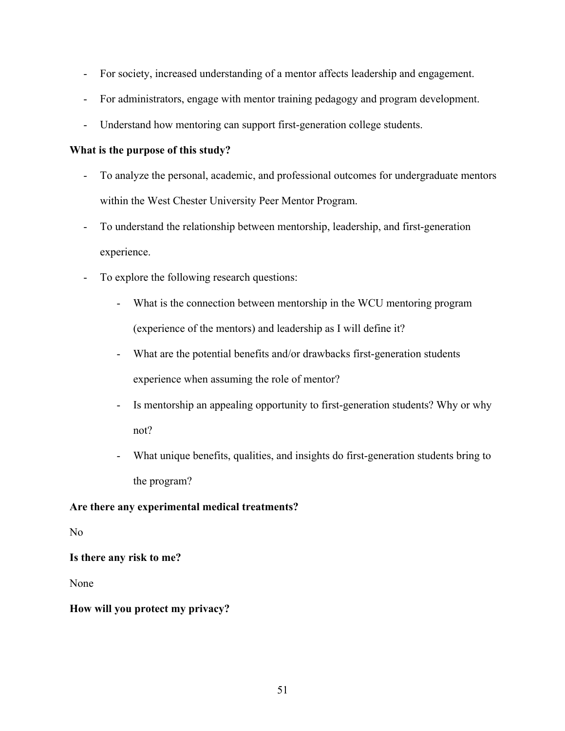- For society, increased understanding of a mentor affects leadership and engagement.
- For administrators, engage with mentor training pedagogy and program development.
- Understand how mentoring can support first-generation college students.

# **What is the purpose of this study?**

- To analyze the personal, academic, and professional outcomes for undergraduate mentors within the West Chester University Peer Mentor Program.
- To understand the relationship between mentorship, leadership, and first-generation experience.
- To explore the following research questions:
	- What is the connection between mentorship in the WCU mentoring program (experience of the mentors) and leadership as I will define it?
	- What are the potential benefits and/or drawbacks first-generation students experience when assuming the role of mentor?
	- Is mentorship an appealing opportunity to first-generation students? Why or why not?
	- What unique benefits, qualities, and insights do first-generation students bring to the program?

# **Are there any experimental medical treatments?**

No

**Is there any risk to me?**

None

# **How will you protect my privacy?**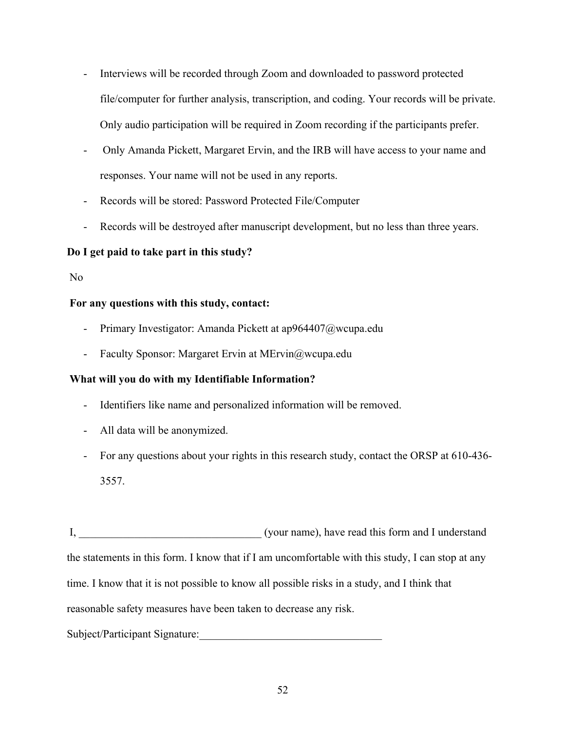- Interviews will be recorded through Zoom and downloaded to password protected file/computer for further analysis, transcription, and coding. Your records will be private. Only audio participation will be required in Zoom recording if the participants prefer.
- Only Amanda Pickett, Margaret Ervin, and the IRB will have access to your name and responses. Your name will not be used in any reports.
- Records will be stored: Password Protected File/Computer
- Records will be destroyed after manuscript development, but no less than three years.

# **Do I get paid to take part in this study?**

No

## **For any questions with this study, contact:**

- Primary Investigator: Amanda Pickett at ap964407@wcupa.edu
- Faculty Sponsor: Margaret Ervin at MErvin@wcupa.edu

## **What will you do with my Identifiable Information?**

- Identifiers like name and personalized information will be removed.
- All data will be anonymized.
- For any questions about your rights in this research study, contact the ORSP at 610-436- 3557.

I, the same of the same of the same of the same of the same of the same of the same of the same of the same of the same of the same of the same of the same of the same of the same of the same of the same of the same of the the statements in this form. I know that if I am uncomfortable with this study, I can stop at any time. I know that it is not possible to know all possible risks in a study, and I think that reasonable safety measures have been taken to decrease any risk.

# Subject/Participant Signature: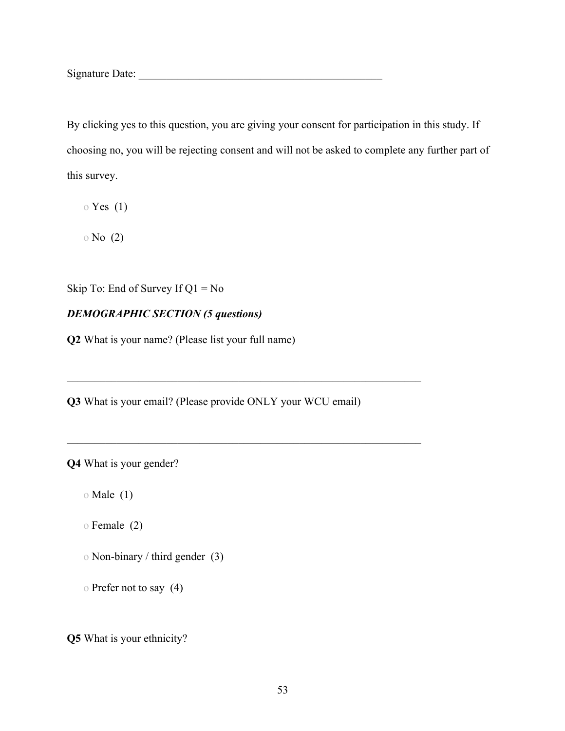Signature Date: \_\_\_\_\_\_\_\_\_\_\_\_\_\_\_\_\_\_\_\_\_\_\_\_\_\_\_\_\_\_\_\_\_\_\_\_\_\_\_\_\_\_\_\_

By clicking yes to this question, you are giving your consent for participation in this study. If choosing no, you will be rejecting consent and will not be asked to complete any further part of this survey.

 $\circ$  Yes (1)

o No (2)

Skip To: End of Survey If  $Q1 = No$ 

# *DEMOGRAPHIC SECTION (5 questions)*

**Q2** What is your name? (Please list your full name)

**Q3** What is your email? (Please provide ONLY your WCU email)

 $\mathcal{L}_\text{max} = \mathcal{L}_\text{max} = \mathcal{L}_\text{max} = \mathcal{L}_\text{max} = \mathcal{L}_\text{max} = \mathcal{L}_\text{max} = \mathcal{L}_\text{max} = \mathcal{L}_\text{max} = \mathcal{L}_\text{max} = \mathcal{L}_\text{max} = \mathcal{L}_\text{max} = \mathcal{L}_\text{max} = \mathcal{L}_\text{max} = \mathcal{L}_\text{max} = \mathcal{L}_\text{max} = \mathcal{L}_\text{max} = \mathcal{L}_\text{max} = \mathcal{L}_\text{max} = \mathcal{$ 

**Q4** What is your gender?

o Male (1)

o Female (2)

- o Non-binary / third gender (3)
- o Prefer not to say (4)

**Q5** What is your ethnicity?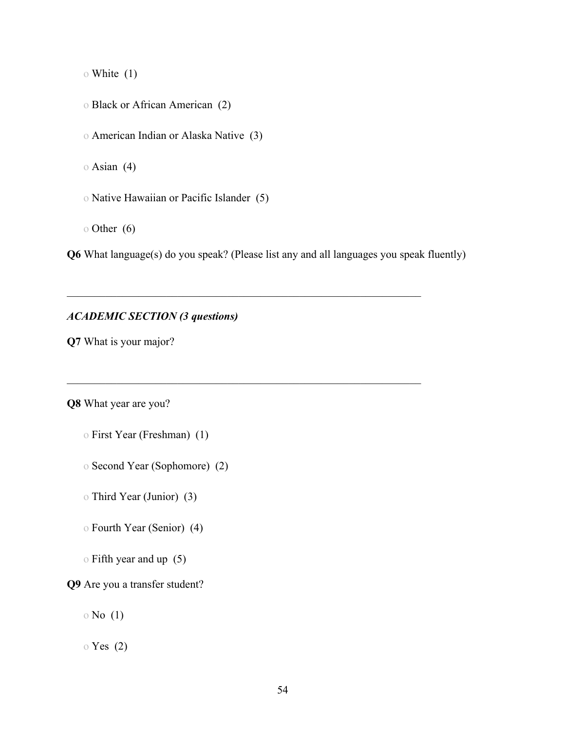o White (1)

o Black or African American (2)

o American Indian or Alaska Native (3)

o Asian (4)

o Native Hawaiian or Pacific Islander (5)

o Other (6)

**Q6** What language(s) do you speak? (Please list any and all languages you speak fluently)

## *ACADEMIC SECTION (3 questions)*

**Q7** What is your major?

**Q8** What year are you?

- o First Year (Freshman) (1)
- o Second Year (Sophomore) (2)
- o Third Year (Junior) (3)
- o Fourth Year (Senior) (4)
- o Fifth year and up (5)

**Q9** Are you a transfer student?

 $\circ$  No  $(1)$ 

o Yes (2)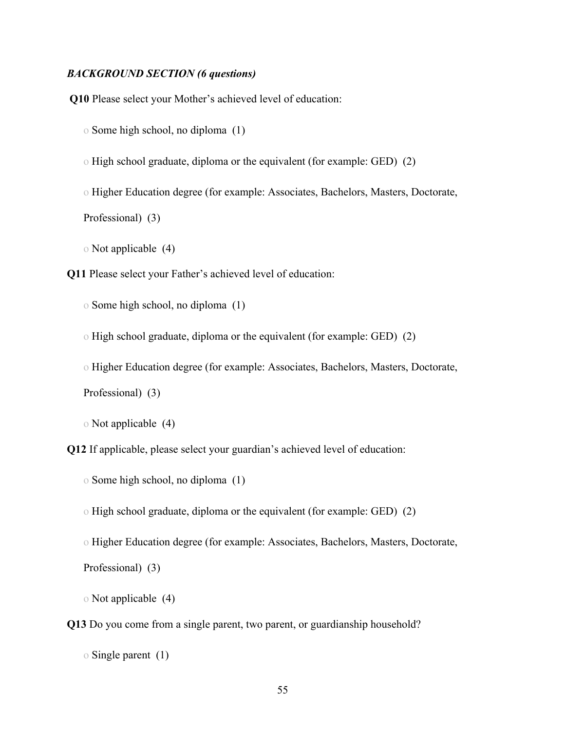#### *BACKGROUND SECTION (6 questions)*

**Q10** Please select your Mother's achieved level of education:

o Some high school, no diploma (1)

o High school graduate, diploma or the equivalent (for example: GED) (2)

o Higher Education degree (for example: Associates, Bachelors, Masters, Doctorate, Professional) (3)

o Not applicable (4)

**Q11** Please select your Father's achieved level of education:

o Some high school, no diploma (1)

o High school graduate, diploma or the equivalent (for example: GED) (2)

o Higher Education degree (for example: Associates, Bachelors, Masters, Doctorate,

Professional) (3)

o Not applicable (4)

**Q12** If applicable, please select your guardian's achieved level of education:

o Some high school, no diploma (1)

o High school graduate, diploma or the equivalent (for example: GED) (2)

o Higher Education degree (for example: Associates, Bachelors, Masters, Doctorate, Professional) (3)

o Not applicable (4)

**Q13** Do you come from a single parent, two parent, or guardianship household?

o Single parent (1)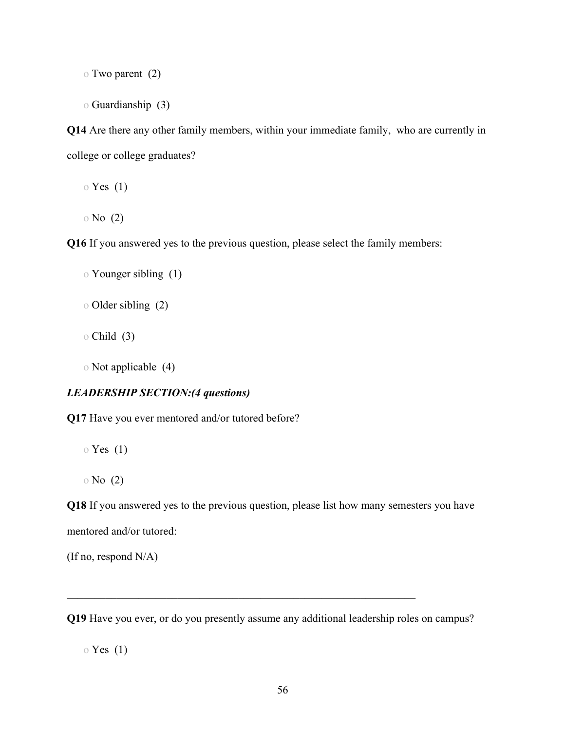o Two parent (2)

o Guardianship (3)

**Q14** Are there any other family members, within your immediate family, who are currently in college or college graduates?

o Yes (1)

o No (2)

**Q16** If you answered yes to the previous question, please select the family members:

```
o Younger sibling (1)
```
- o Older sibling (2)
- o Child (3)

o Not applicable (4)

#### *LEADERSHIP SECTION:(4 questions)*

**Q17** Have you ever mentored and/or tutored before?

- o Yes (1)
- o No (2)

**Q18** If you answered yes to the previous question, please list how many semesters you have mentored and/or tutored:

(If no, respond N/A)

**Q19** Have you ever, or do you presently assume any additional leadership roles on campus?

o Yes (1)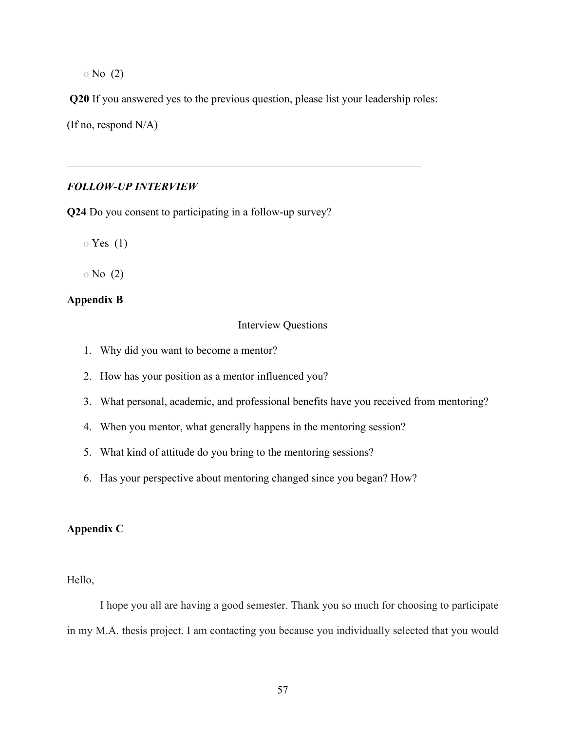o No (2)

**Q20** If you answered yes to the previous question, please list your leadership roles:

(If no, respond N/A)

#### *FOLLOW-UP INTERVIEW*

**Q24** Do you consent to participating in a follow-up survey?

 $\circ$  Yes (1)

o No (2)

## **Appendix B**

Interview Questions

- 1. Why did you want to become a mentor?
- 2. How has your position as a mentor influenced you?
- 3. What personal, academic, and professional benefits have you received from mentoring?
- 4. When you mentor, what generally happens in the mentoring session?
- 5. What kind of attitude do you bring to the mentoring sessions?
- 6. Has your perspective about mentoring changed since you began? How?

# **Appendix C**

Hello,

I hope you all are having a good semester. Thank you so much for choosing to participate in my M.A. thesis project. I am contacting you because you individually selected that you would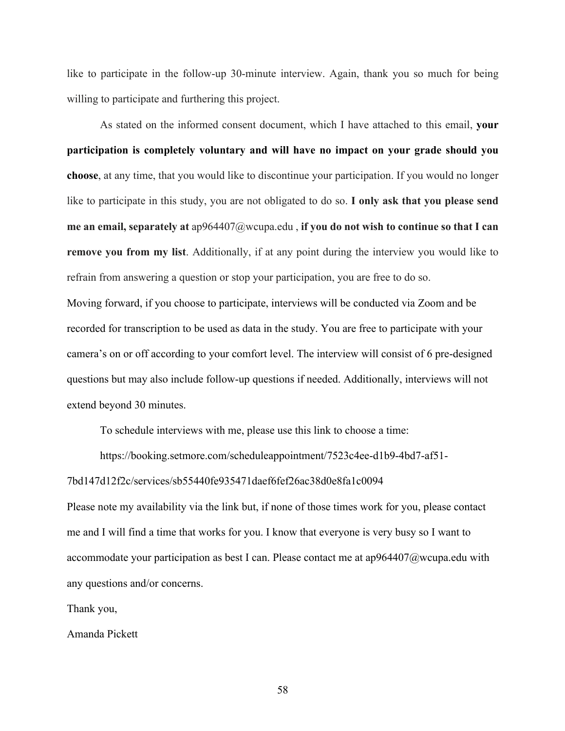like to participate in the follow-up 30-minute interview. Again, thank you so much for being willing to participate and furthering this project.

As stated on the informed consent document, which I have attached to this email, **your participation is completely voluntary and will have no impact on your grade should you choose**, at any time, that you would like to discontinue your participation. If you would no longer like to participate in this study, you are not obligated to do so. **I only ask that you please send me an email, separately at** ap964407@wcupa.edu , **if you do not wish to continue so that I can remove you from my list**. Additionally, if at any point during the interview you would like to refrain from answering a question or stop your participation, you are free to do so. Moving forward, if you choose to participate, interviews will be conducted via Zoom and be recorded for transcription to be used as data in the study. You are free to participate with your camera's on or off according to your comfort level. The interview will consist of 6 pre-designed questions but may also include follow-up questions if needed. Additionally, interviews will not extend beyond 30 minutes.

To schedule interviews with me, please use this link to choose a time:

https://booking.setmore.com/scheduleappointment/7523c4ee-d1b9-4bd7-af51-

#### 7bd147d12f2c/services/sb55440fe935471daef6fef26ac38d0e8fa1c0094

Please note my availability via the link but, if none of those times work for you, please contact me and I will find a time that works for you. I know that everyone is very busy so I want to accommodate your participation as best I can. Please contact me at ap964407@wcupa.edu with any questions and/or concerns.

Thank you,

Amanda Pickett